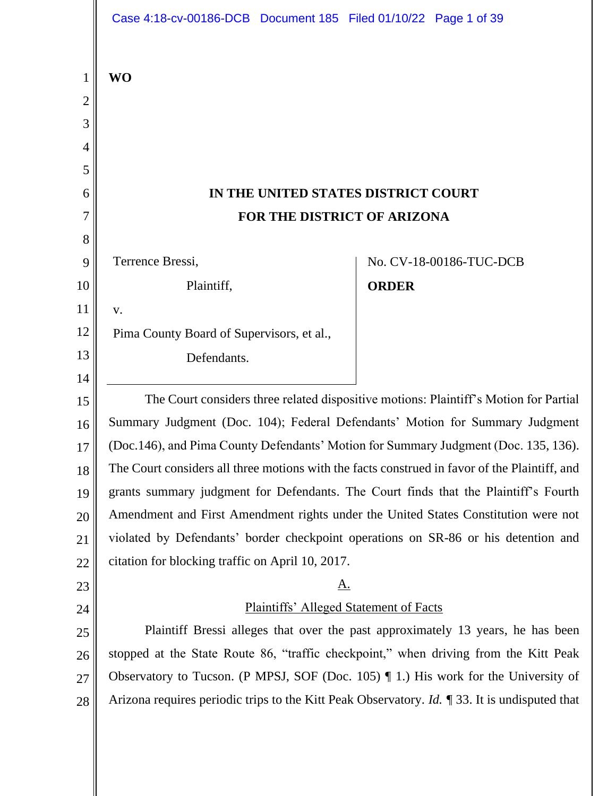|                | Case 4:18-cv-00186-DCB Document 185 Filed 01/10/22 Page 1 of 39                                               |                         |
|----------------|---------------------------------------------------------------------------------------------------------------|-------------------------|
| $\mathbf{1}$   | <b>WO</b>                                                                                                     |                         |
| $\overline{c}$ |                                                                                                               |                         |
| 3              |                                                                                                               |                         |
| $\overline{4}$ |                                                                                                               |                         |
| 5              |                                                                                                               |                         |
| 6              | IN THE UNITED STATES DISTRICT COURT                                                                           |                         |
| 7              | FOR THE DISTRICT OF ARIZONA                                                                                   |                         |
| 8              |                                                                                                               |                         |
| 9              | Terrence Bressi,                                                                                              | No. CV-18-00186-TUC-DCB |
| 10             | Plaintiff,                                                                                                    | <b>ORDER</b>            |
| 11             | ${\bf V}$ .                                                                                                   |                         |
| 12             | Pima County Board of Supervisors, et al.,                                                                     |                         |
| 13             | Defendants.                                                                                                   |                         |
| 14             |                                                                                                               |                         |
| 15             | The Court considers three related dispositive motions: Plaintiff's Motion for Partial                         |                         |
| 16             | Summary Judgment (Doc. 104); Federal Defendants' Motion for Summary Judgment                                  |                         |
| 17             | (Doc.146), and Pima County Defendants' Motion for Summary Judgment (Doc. 135, 136).                           |                         |
| 18             | The Court considers all three motions with the facts construed in favor of the Plaintiff, and                 |                         |
| 19             | grants summary judgment for Defendants. The Court finds that the Plaintiff's Fourth                           |                         |
| 20             | Amendment and First Amendment rights under the United States Constitution were not                            |                         |
| 21             | violated by Defendants' border checkpoint operations on SR-86 or his detention and                            |                         |
| 22             | citation for blocking traffic on April 10, 2017.                                                              |                         |
| 23             | <u>A.</u>                                                                                                     |                         |
| 24             | <b>Plaintiffs' Alleged Statement of Facts</b>                                                                 |                         |
| 25             | Plaintiff Bressi alleges that over the past approximately 13 years, he has been                               |                         |
| 26             | stopped at the State Route 86, "traffic checkpoint," when driving from the Kitt Peak                          |                         |
| 27             | Observatory to Tucson. (P MPSJ, SOF (Doc. 105) $\P$ 1.) His work for the University of                        |                         |
| 28             | Arizona requires periodic trips to the Kitt Peak Observatory. <i>Id.</i> $\sqrt{ }$ 33. It is undisputed that |                         |
|                |                                                                                                               |                         |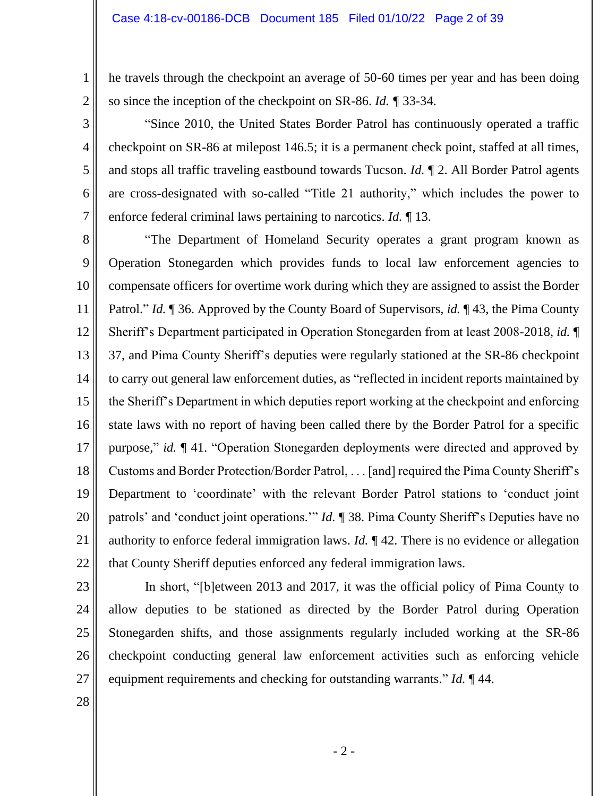he travels through the checkpoint an average of 50-60 times per year and has been doing so since the inception of the checkpoint on SR-86. *Id. ¶* 33-34.

"Since 2010, the United States Border Patrol has continuously operated a traffic checkpoint on SR-86 at milepost 146.5; it is a permanent check point, staffed at all times, and stops all traffic traveling eastbound towards Tucson. *Id.* ¶ 2. All Border Patrol agents are cross-designated with so-called "Title 21 authority," which includes the power to enforce federal criminal laws pertaining to narcotics. *Id.* ¶ 13.

8 9 10 11 12 13 14 15 16 17 18 19 20 21 22 "The Department of Homeland Security operates a grant program known as Operation Stonegarden which provides funds to local law enforcement agencies to compensate officers for overtime work during which they are assigned to assist the Border Patrol." *Id.* ¶ 36. Approved by the County Board of Supervisors, *id.* ¶ 43, the Pima County Sheriff's Department participated in Operation Stonegarden from at least 2008-2018, *id.* ¶ 37, and Pima County Sheriff's deputies were regularly stationed at the SR-86 checkpoint to carry out general law enforcement duties, as "reflected in incident reports maintained by the Sheriff's Department in which deputies report working at the checkpoint and enforcing state laws with no report of having been called there by the Border Patrol for a specific purpose," *id.* ¶ 41. "Operation Stonegarden deployments were directed and approved by Customs and Border Protection/Border Patrol, . . . [and] required the Pima County Sheriff's Department to 'coordinate' with the relevant Border Patrol stations to 'conduct joint patrols' and 'conduct joint operations.'" *Id.* ¶ 38. Pima County Sheriff's Deputies have no authority to enforce federal immigration laws. *Id.* ¶ 42. There is no evidence or allegation that County Sheriff deputies enforced any federal immigration laws.

23 24 25

1

2

3

4

5

6

7

In short, "[b]etween 2013 and 2017, it was the official policy of Pima County to allow deputies to be stationed as directed by the Border Patrol during Operation Stonegarden shifts, and those assignments regularly included working at the SR-86 checkpoint conducting general law enforcement activities such as enforcing vehicle equipment requirements and checking for outstanding warrants." *Id.* ¶ 44.

28

27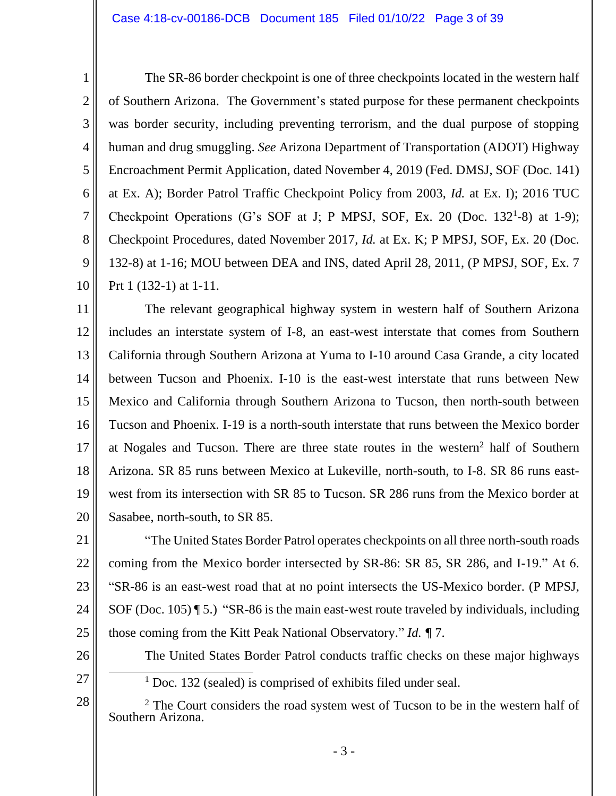#### Case 4:18-cv-00186-DCB Document 185 Filed 01/10/22 Page 3 of 39

1 2 3 4 5 6 7 8 9 10 The SR-86 border checkpoint is one of three checkpoints located in the western half of Southern Arizona. The Government's stated purpose for these permanent checkpoints was border security, including preventing terrorism, and the dual purpose of stopping human and drug smuggling. *See* Arizona Department of Transportation (ADOT) Highway Encroachment Permit Application, dated November 4, 2019 (Fed. DMSJ, SOF (Doc. 141) at Ex. A); Border Patrol Traffic Checkpoint Policy from 2003, *Id.* at Ex. I); 2016 TUC Checkpoint Operations (G's SOF at J; P MPSJ, SOF, Ex. 20 (Doc.  $132^1-8$ ) at 1-9); Checkpoint Procedures, dated November 2017, *Id.* at Ex. K; P MPSJ, SOF, Ex. 20 (Doc. 132-8) at 1-16; MOU between DEA and INS, dated April 28, 2011, (P MPSJ, SOF, Ex. 7 Prt 1 (132-1) at 1-11.

11 12 13 14 15 16 17 18 19 20 The relevant geographical highway system in western half of Southern Arizona includes an interstate system of I-8, an east-west interstate that comes from Southern California through Southern Arizona at Yuma to I-10 around Casa Grande, a city located between Tucson and Phoenix. I-10 is the east-west interstate that runs between New Mexico and California through Southern Arizona to Tucson, then north-south between Tucson and Phoenix. I-19 is a north-south interstate that runs between the Mexico border at Nogales and Tucson. There are three state routes in the western<sup>2</sup> half of Southern Arizona. SR 85 runs between Mexico at Lukeville, north-south, to I-8. SR 86 runs eastwest from its intersection with SR 85 to Tucson. SR 286 runs from the Mexico border at Sasabee, north-south, to SR 85.

21 22 23 24 25 "The United States Border Patrol operates checkpoints on all three north-south roads coming from the Mexico border intersected by SR-86: SR 85, SR 286, and I-19." At 6. "SR-86 is an east-west road that at no point intersects the US-Mexico border. (P MPSJ, SOF (Doc. 105)  $\P$  5.) "SR-86 is the main east-west route traveled by individuals, including those coming from the Kitt Peak National Observatory." *Id. ¶* 7.

- 26
- 27

28

<sup>1</sup> Doc. 132 (sealed) is comprised of exhibits filed under seal.

<sup>2</sup> The Court considers the road system west of Tucson to be in the western half of Southern Arizona.

The United States Border Patrol conducts traffic checks on these major highways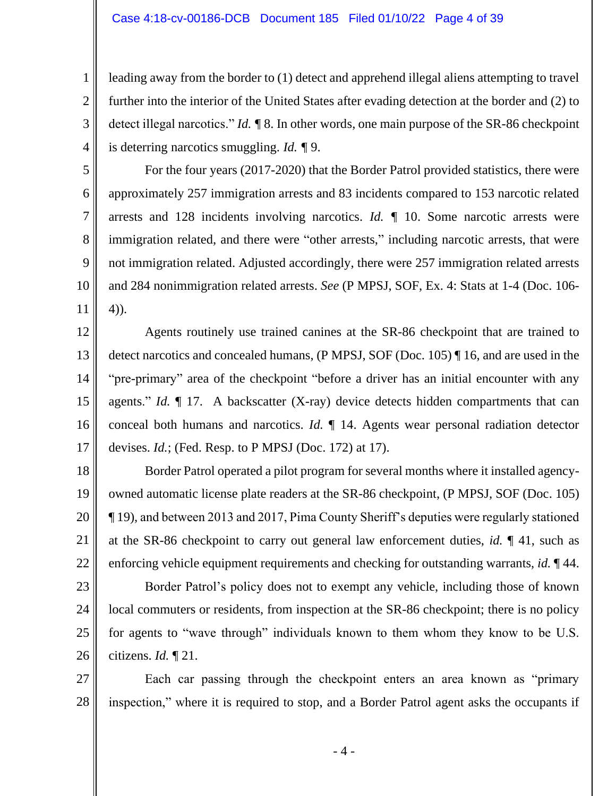2

3

4

5

6

7

8

9

10

11

leading away from the border to (1) detect and apprehend illegal aliens attempting to travel further into the interior of the United States after evading detection at the border and (2) to detect illegal narcotics." *Id. ¶* 8. In other words, one main purpose of the SR-86 checkpoint is deterring narcotics smuggling. *Id. ¶* 9.

For the four years (2017-2020) that the Border Patrol provided statistics, there were approximately 257 immigration arrests and 83 incidents compared to 153 narcotic related arrests and 128 incidents involving narcotics. *Id. ¶* 10. Some narcotic arrests were immigration related, and there were "other arrests," including narcotic arrests, that were not immigration related. Adjusted accordingly, there were 257 immigration related arrests and 284 nonimmigration related arrests. *See* (P MPSJ, SOF, Ex. 4: Stats at 1-4 (Doc. 106- 4)).

12 13 14 15 16 17 Agents routinely use trained canines at the SR-86 checkpoint that are trained to detect narcotics and concealed humans, (P MPSJ, SOF (Doc. 105) ¶ 16, and are used in the "pre-primary" area of the checkpoint "before a driver has an initial encounter with any agents." *Id.* ¶ 17. A backscatter (X-ray) device detects hidden compartments that can conceal both humans and narcotics. *Id.* ¶ 14. Agents wear personal radiation detector devises. *Id.*; (Fed. Resp. to P MPSJ (Doc. 172) at 17).

18 19 20 21 22 Border Patrol operated a pilot program for several months where it installed agencyowned automatic license plate readers at the SR-86 checkpoint, (P MPSJ, SOF (Doc. 105) ¶ 19), and between 2013 and 2017, Pima County Sheriff's deputies were regularly stationed at the SR-86 checkpoint to carry out general law enforcement duties, *id.* ¶ 41, such as enforcing vehicle equipment requirements and checking for outstanding warrants, *id.* ¶ 44.

23 24 25 26 Border Patrol's policy does not to exempt any vehicle, including those of known local commuters or residents, from inspection at the SR-86 checkpoint; there is no policy for agents to "wave through" individuals known to them whom they know to be U.S. citizens. *Id.* ¶ 21.

27 28 Each car passing through the checkpoint enters an area known as "primary inspection," where it is required to stop, and a Border Patrol agent asks the occupants if

- 4 -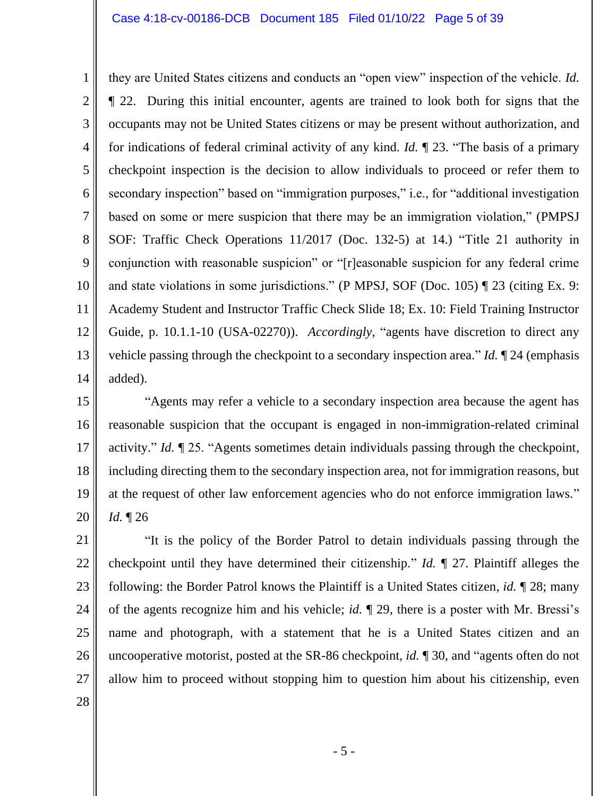1 2 3 4 5 6 7 8 9 10 11 12 13 14 they are United States citizens and conducts an "open view" inspection of the vehicle. *Id.*  ¶ 22. During this initial encounter, agents are trained to look both for signs that the occupants may not be United States citizens or may be present without authorization, and for indications of federal criminal activity of any kind. *Id.* ¶ 23. "The basis of a primary checkpoint inspection is the decision to allow individuals to proceed or refer them to secondary inspection" based on "immigration purposes," i.e., for "additional investigation based on some or mere suspicion that there may be an immigration violation," (PMPSJ SOF: Traffic Check Operations 11/2017 (Doc. 132-5) at 14.) "Title 21 authority in conjunction with reasonable suspicion" or "[r]easonable suspicion for any federal crime and state violations in some jurisdictions." (P MPSJ, SOF (Doc. 105) ¶ 23 (citing Ex. 9: Academy Student and Instructor Traffic Check Slide 18; Ex. 10: Field Training Instructor Guide, p. 10.1.1-10 (USA-02270)). *Accordingly*, "agents have discretion to direct any vehicle passing through the checkpoint to a secondary inspection area." *Id.* ¶ 24 (emphasis added).

15 16 17 18 19 20 "Agents may refer a vehicle to a secondary inspection area because the agent has reasonable suspicion that the occupant is engaged in non-immigration-related criminal activity." *Id.* ¶ 25. "Agents sometimes detain individuals passing through the checkpoint, including directing them to the secondary inspection area, not for immigration reasons, but at the request of other law enforcement agencies who do not enforce immigration laws." *Id.* ¶ 26

21 22 23 24 25 26 27 "It is the policy of the Border Patrol to detain individuals passing through the checkpoint until they have determined their citizenship." *Id.* ¶ 27. Plaintiff alleges the following: the Border Patrol knows the Plaintiff is a United States citizen, *id.* ¶ 28; many of the agents recognize him and his vehicle; *id.* ¶ 29, there is a poster with Mr. Bressi's name and photograph, with a statement that he is a United States citizen and an uncooperative motorist, posted at the SR-86 checkpoint, *id.* ¶ 30, and "agents often do not allow him to proceed without stopping him to question him about his citizenship, even

28

- 5 -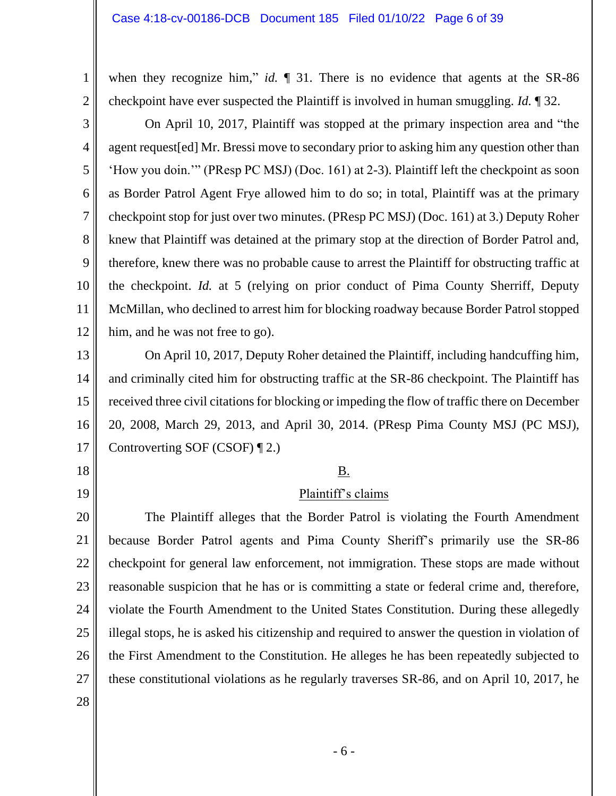when they recognize him," *id.*  $\parallel$  31. There is no evidence that agents at the SR-86 checkpoint have ever suspected the Plaintiff is involved in human smuggling. *Id.* ¶ 32.

3 4 5 6 7 8 9 10 11 12 On April 10, 2017, Plaintiff was stopped at the primary inspection area and "the agent request[ed] Mr. Bressi move to secondary prior to asking him any question other than 'How you doin.'" (PResp PC MSJ) (Doc. 161) at 2-3). Plaintiff left the checkpoint as soon as Border Patrol Agent Frye allowed him to do so; in total, Plaintiff was at the primary checkpoint stop for just over two minutes. (PResp PC MSJ) (Doc. 161) at 3.) Deputy Roher knew that Plaintiff was detained at the primary stop at the direction of Border Patrol and, therefore, knew there was no probable cause to arrest the Plaintiff for obstructing traffic at the checkpoint. *Id.* at 5 (relying on prior conduct of Pima County Sherriff, Deputy McMillan, who declined to arrest him for blocking roadway because Border Patrol stopped him, and he was not free to go).

13 14 15 16 17 On April 10, 2017, Deputy Roher detained the Plaintiff, including handcuffing him, and criminally cited him for obstructing traffic at the SR-86 checkpoint. The Plaintiff has received three civil citations for blocking or impeding the flow of traffic there on December 20, 2008, March 29, 2013, and April 30, 2014. (PResp Pima County MSJ (PC MSJ), Controverting SOF (CSOF) ¶ 2.)

B.

# Plaintiff's claims

20 21 22 23 24 25 26 27 The Plaintiff alleges that the Border Patrol is violating the Fourth Amendment because Border Patrol agents and Pima County Sheriff's primarily use the SR-86 checkpoint for general law enforcement, not immigration. These stops are made without reasonable suspicion that he has or is committing a state or federal crime and, therefore, violate the Fourth Amendment to the United States Constitution. During these allegedly illegal stops, he is asked his citizenship and required to answer the question in violation of the First Amendment to the Constitution. He alleges he has been repeatedly subjected to these constitutional violations as he regularly traverses SR-86, and on April 10, 2017, he

28

18

19

1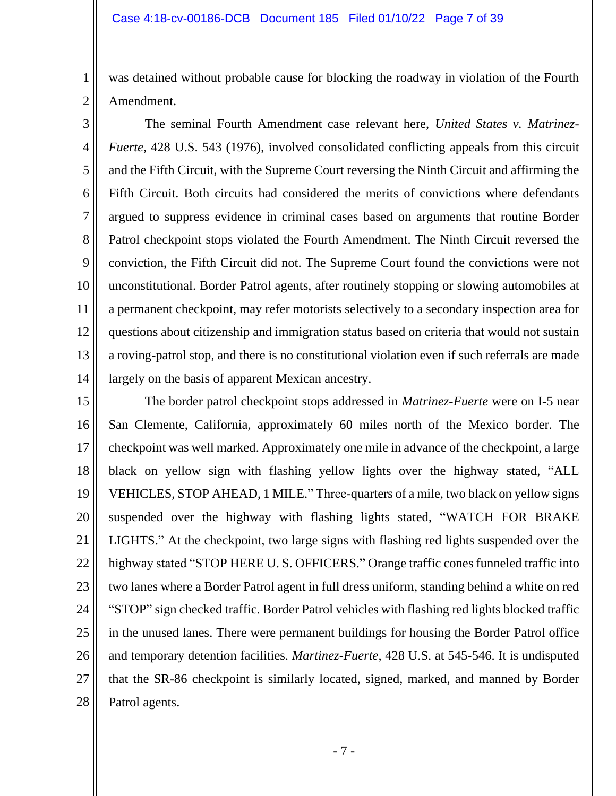2

was detained without probable cause for blocking the roadway in violation of the Fourth Amendment.

3 4 5 6 7 8 9 10 11 12 13 14 The seminal Fourth Amendment case relevant here, *United States v. Matrinez-Fuerte*, 428 U.S. 543 (1976), involved consolidated conflicting appeals from this circuit and the Fifth Circuit, with the Supreme Court reversing the Ninth Circuit and affirming the Fifth Circuit. Both circuits had considered the merits of convictions where defendants argued to suppress evidence in criminal cases based on arguments that routine Border Patrol checkpoint stops violated the Fourth Amendment. The Ninth Circuit reversed the conviction, the Fifth Circuit did not. The Supreme Court found the convictions were not unconstitutional. Border Patrol agents, after routinely stopping or slowing automobiles at a permanent checkpoint, may refer motorists selectively to a secondary inspection area for questions about citizenship and immigration status based on criteria that would not sustain a roving-patrol stop, and there is no constitutional violation even if such referrals are made largely on the basis of apparent Mexican ancestry.

15 16 17 18 19 20 21 22 23 24 25 26 27 28 The border patrol checkpoint stops addressed in *Matrinez-Fuerte* were on I-5 near San Clemente, California, approximately 60 miles north of the Mexico border. The checkpoint was well marked. Approximately one mile in advance of the checkpoint, a large black on yellow sign with flashing yellow lights over the highway stated, "ALL VEHICLES, STOP AHEAD, 1 MILE." Three-quarters of a mile, two black on yellow signs suspended over the highway with flashing lights stated, "WATCH FOR BRAKE LIGHTS." At the checkpoint, two large signs with flashing red lights suspended over the highway stated "STOP HERE U. S. OFFICERS." Orange traffic cones funneled traffic into two lanes where a Border Patrol agent in full dress uniform, standing behind a white on red "STOP" sign checked traffic. Border Patrol vehicles with flashing red lights blocked traffic in the unused lanes. There were permanent buildings for housing the Border Patrol office and temporary detention facilities. *Martinez-Fuerte*, 428 U.S. at 545-546. It is undisputed that the SR-86 checkpoint is similarly located, signed, marked, and manned by Border Patrol agents.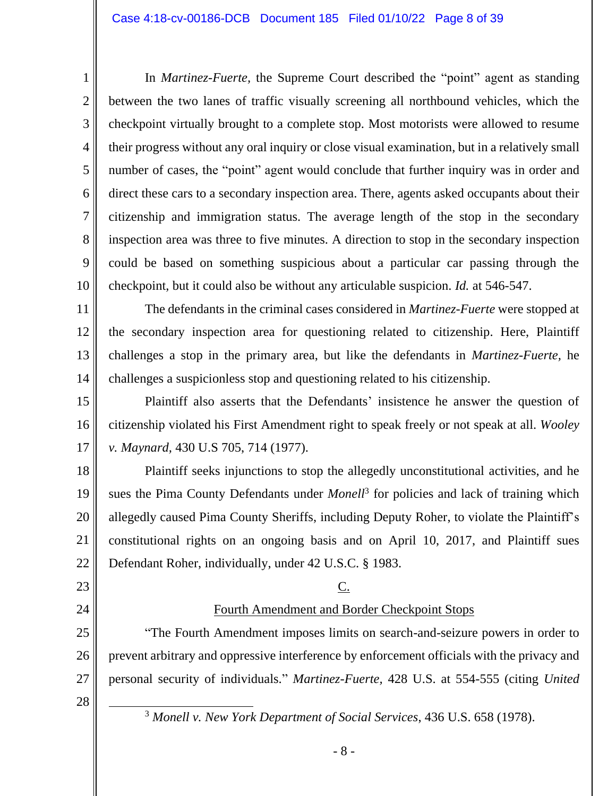In *Martinez-Fuerte,* the Supreme Court described the "point" agent as standing between the two lanes of traffic visually screening all northbound vehicles, which the checkpoint virtually brought to a complete stop. Most motorists were allowed to resume their progress without any oral inquiry or close visual examination, but in a relatively small number of cases, the "point" agent would conclude that further inquiry was in order and direct these cars to a secondary inspection area. There, agents asked occupants about their citizenship and immigration status. The average length of the stop in the secondary inspection area was three to five minutes. A direction to stop in the secondary inspection could be based on something suspicious about a particular car passing through the checkpoint, but it could also be without any articulable suspicion. *Id.* at 546-547.

11 12 13 14 The defendants in the criminal cases considered in *Martinez-Fuerte* were stopped at the secondary inspection area for questioning related to citizenship. Here, Plaintiff challenges a stop in the primary area, but like the defendants in *Martinez-Fuerte,* he challenges a suspicionless stop and questioning related to his citizenship.

15 16 17 Plaintiff also asserts that the Defendants' insistence he answer the question of citizenship violated his First Amendment right to speak freely or not speak at all. *Wooley v. Maynard,* 430 U.S 705, 714 (1977).

18 19 20 21 22 Plaintiff seeks injunctions to stop the allegedly unconstitutional activities, and he sues the Pima County Defendants under *Monell*<sup>3</sup> for policies and lack of training which allegedly caused Pima County Sheriffs, including Deputy Roher, to violate the Plaintiff's constitutional rights on an ongoing basis and on April 10, 2017, and Plaintiff sues Defendant Roher, individually, under 42 U.S.C. § 1983.

C.

Fourth Amendment and Border Checkpoint Stops

prevent arbitrary and oppressive interference by enforcement officials with the privacy and

personal security of individuals." *Martinez-Fuerte,* 428 U.S. at 554-555 (citing *United* 

"The Fourth Amendment imposes limits on search-and-seizure powers in order to

23

1

2

3

4

5

6

7

8

9

10

24

# 25

26 27

28

<sup>3</sup> *Monell v. New York Department of Social Services*, 436 U.S. 658 (1978).

- 8 -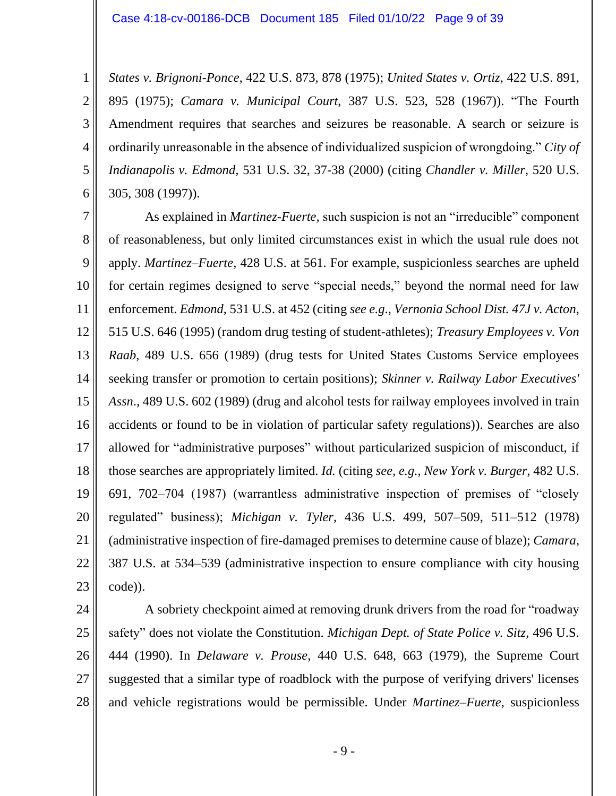2

3

4

5

6

*States v. Brignoni-Ponce*, 422 U.S. 873, 878 (1975); *United States v. Ortiz*, 422 U.S. 891, 895 (1975); *Camara v. Municipal Court*, 387 U.S. 523, 528 (1967)). "The Fourth Amendment requires that searches and seizures be reasonable. A search or seizure is ordinarily unreasonable in the absence of individualized suspicion of wrongdoing." *City of Indianapolis v. Edmond,* 531 U.S. 32, 37-38 (2000) (citing *Chandler v. Miller*, 520 U.S. 305, 308 (1997)).

7 8 9 10 11 12 13 14 15 16 17 18 19 20 21 22 23 As explained in *Martinez-Fuerte,* such suspicion is not an "irreducible" component of reasonableness, but only limited circumstances exist in which the usual rule does not apply. *Martinez–Fuerte*, 428 U.S. at 561. For example, suspicionless searches are upheld for certain regimes designed to serve "special needs," beyond the normal need for law enforcement. *Edmond,* 531 U.S. at 452 (citing *see e.g*., *Vernonia School Dist. 47J v. Acton*, 515 U.S. 646 (1995) (random drug testing of student-athletes); *Treasury Employees v. Von Raab*, 489 U.S. 656 (1989) (drug tests for United States Customs Service employees seeking transfer or promotion to certain positions); *Skinner v. Railway Labor Executives' Assn*., 489 U.S. 602 (1989) (drug and alcohol tests for railway employees involved in train accidents or found to be in violation of particular safety regulations)). Searches are also allowed for "administrative purposes" without particularized suspicion of misconduct, if those searches are appropriately limited. *Id.* (citing *see, e.g., New York v. Burger*, 482 U.S. 691, 702–704 (1987) (warrantless administrative inspection of premises of "closely regulated" business); *Michigan v. Tyler*, 436 U.S. 499, 507–509, 511–512 (1978) (administrative inspection of fire-damaged premises to determine cause of blaze); *Camara*, 387 U.S. at 534–539 (administrative inspection to ensure compliance with city housing code)).

24 25 26 27 28 A sobriety checkpoint aimed at removing drunk drivers from the road for "roadway safety" does not violate the Constitution. *Michigan Dept. of State Police v. Sitz*, 496 U.S. 444 (1990). In *Delaware v. Prouse*, 440 U.S. 648, 663 (1979), the Supreme Court suggested that a similar type of roadblock with the purpose of verifying drivers' licenses and vehicle registrations would be permissible. Under *Martinez–Fuerte*, suspicionless

- 9 -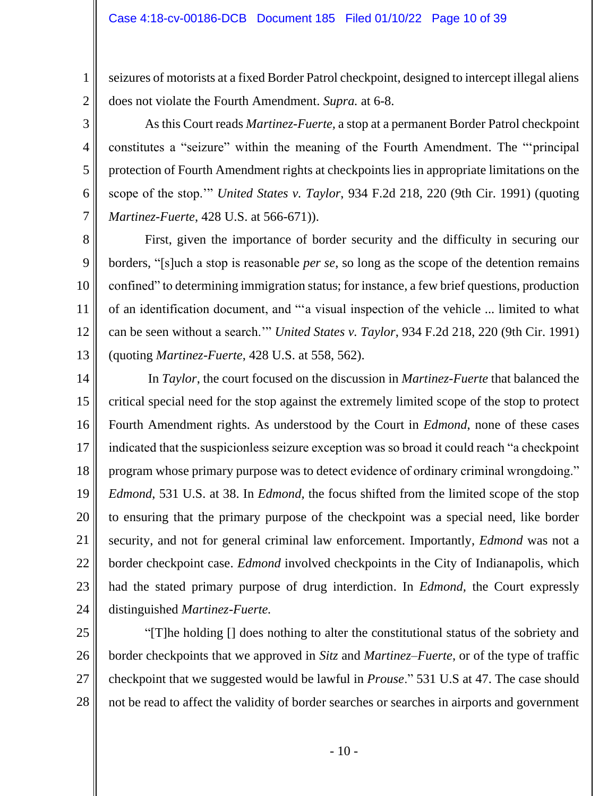2

3

4

5

6

7

seizures of motorists at a fixed Border Patrol checkpoint, designed to intercept illegal aliens does not violate the Fourth Amendment. *Supra.* at 6-8.

As this Court reads *Martinez-Fuerte,* a stop at a permanent Border Patrol checkpoint constitutes a "seizure" within the meaning of the Fourth Amendment. The "'principal protection of Fourth Amendment rights at checkpoints lies in appropriate limitations on the scope of the stop.'" *United States v. Taylor*, 934 F.2d 218, 220 (9th Cir. 1991) (quoting *Martinez-Fuerte*, 428 U.S. at 566-671)).

8 9 10 11 12 13 First, given the importance of border security and the difficulty in securing our borders, "[s]uch a stop is reasonable *per se*, so long as the scope of the detention remains confined" to determining immigration status; for instance, a few brief questions, production of an identification document, and "'a visual inspection of the vehicle ... limited to what can be seen without a search.'" *United States v. Taylor*, 934 F.2d 218, 220 (9th Cir. 1991) (quoting *Martinez-Fuerte*, 428 U.S. at 558, 562).

14 15 16 17 18 19 20 21 22 23 24 In *Taylor*, the court focused on the discussion in *Martinez-Fuerte* that balanced the critical special need for the stop against the extremely limited scope of the stop to protect Fourth Amendment rights. As understood by the Court in *Edmond*, none of these cases indicated that the suspicionless seizure exception was so broad it could reach "a checkpoint program whose primary purpose was to detect evidence of ordinary criminal wrongdoing." *Edmond*, 531 U.S. at 38. In *Edmond,* the focus shifted from the limited scope of the stop to ensuring that the primary purpose of the checkpoint was a special need, like border security, and not for general criminal law enforcement. Importantly, *Edmond* was not a border checkpoint case. *Edmond* involved checkpoints in the City of Indianapolis, which had the stated primary purpose of drug interdiction. In *Edmond,* the Court expressly distinguished *Martinez-Fuerte.*

25 26 27 28 "[T]he holding [] does nothing to alter the constitutional status of the sobriety and border checkpoints that we approved in *Sitz* and *Martinez–Fuerte*, or of the type of traffic checkpoint that we suggested would be lawful in *Prouse*." 531 U.S at 47. The case should not be read to affect the validity of border searches or searches in airports and government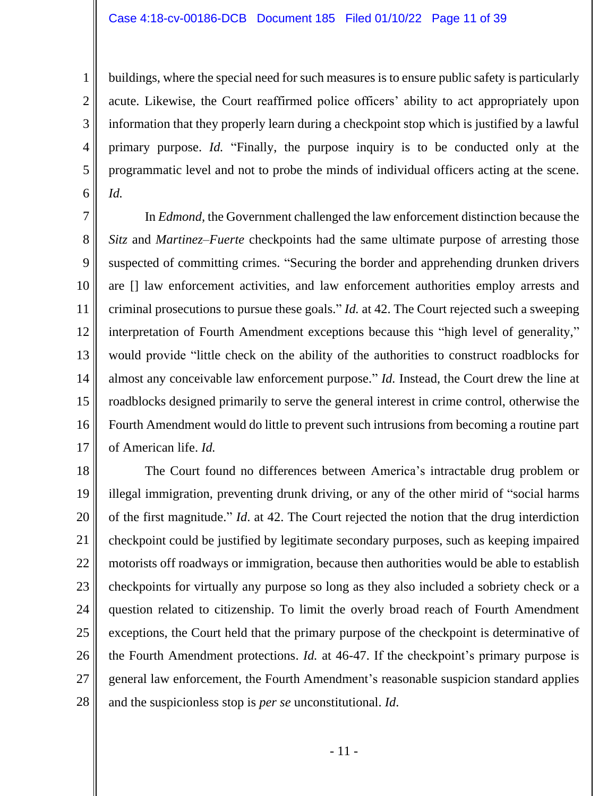#### Case 4:18-cv-00186-DCB Document 185 Filed 01/10/22 Page 11 of 39

1

2

3

4

5

6

buildings, where the special need for such measures is to ensure public safety is particularly acute. Likewise, the Court reaffirmed police officers' ability to act appropriately upon information that they properly learn during a checkpoint stop which is justified by a lawful primary purpose. *Id.* "Finally, the purpose inquiry is to be conducted only at the programmatic level and not to probe the minds of individual officers acting at the scene. *Id.*

7 8 9 10 11 12 13 14 15 16 17 In *Edmond,* the Government challenged the law enforcement distinction because the *Sitz* and *Martinez–Fuerte* checkpoints had the same ultimate purpose of arresting those suspected of committing crimes. "Securing the border and apprehending drunken drivers are [] law enforcement activities, and law enforcement authorities employ arrests and criminal prosecutions to pursue these goals." *Id.* at 42. The Court rejected such a sweeping interpretation of Fourth Amendment exceptions because this "high level of generality," would provide "little check on the ability of the authorities to construct roadblocks for almost any conceivable law enforcement purpose." *Id.* Instead, the Court drew the line at roadblocks designed primarily to serve the general interest in crime control, otherwise the Fourth Amendment would do little to prevent such intrusions from becoming a routine part of American life. *Id.*

18 19 20 21 22 23 24 25 26 27 28 The Court found no differences between America's intractable drug problem or illegal immigration, preventing drunk driving, or any of the other mirid of "social harms of the first magnitude." *Id*. at 42. The Court rejected the notion that the drug interdiction checkpoint could be justified by legitimate secondary purposes, such as keeping impaired motorists off roadways or immigration, because then authorities would be able to establish checkpoints for virtually any purpose so long as they also included a sobriety check or a question related to citizenship. To limit the overly broad reach of Fourth Amendment exceptions, the Court held that the primary purpose of the checkpoint is determinative of the Fourth Amendment protections. *Id.* at 46-47. If the checkpoint's primary purpose is general law enforcement, the Fourth Amendment's reasonable suspicion standard applies and the suspicionless stop is *per se* unconstitutional. *Id*.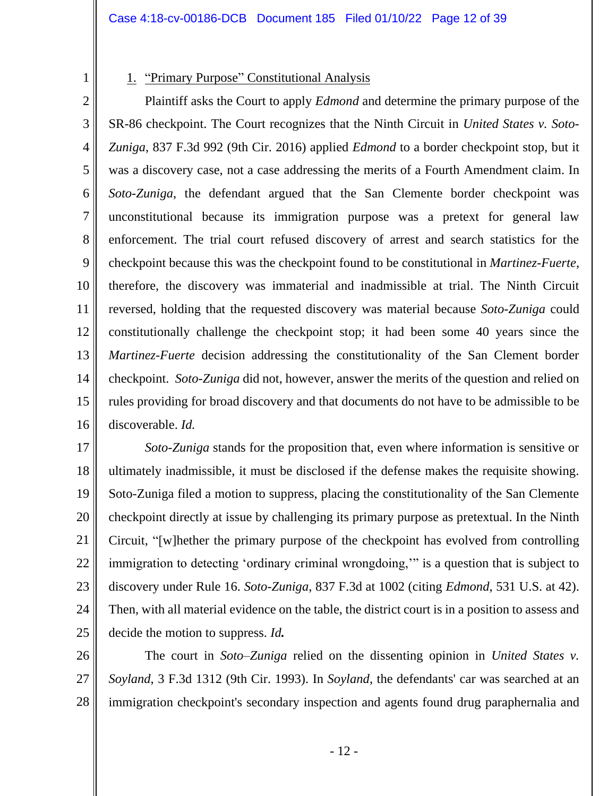1

## 1. "Primary Purpose" Constitutional Analysis

3 4 5 6 7 8 9 10 11 12 13 14 15 16 Plaintiff asks the Court to apply *Edmond* and determine the primary purpose of the SR-86 checkpoint. The Court recognizes that the Ninth Circuit in *United States v. Soto-Zuniga*, 837 F.3d 992 (9th Cir. 2016) applied *Edmond* to a border checkpoint stop, but it was a discovery case, not a case addressing the merits of a Fourth Amendment claim. In *Soto-Zuniga*, the defendant argued that the San Clemente border checkpoint was unconstitutional because its immigration purpose was a pretext for general law enforcement. The trial court refused discovery of arrest and search statistics for the checkpoint because this was the checkpoint found to be constitutional in *Martinez-Fuerte*, therefore, the discovery was immaterial and inadmissible at trial. The Ninth Circuit reversed, holding that the requested discovery was material because *Soto-Zuniga* could constitutionally challenge the checkpoint stop; it had been some 40 years since the *Martinez-Fuerte* decision addressing the constitutionality of the San Clement border checkpoint. *Soto-Zuniga* did not, however, answer the merits of the question and relied on rules providing for broad discovery and that documents do not have to be admissible to be discoverable. *Id.*

17 18 19 20 21 22 23 24 25 *Soto-Zuniga* stands for the proposition that, even where information is sensitive or ultimately inadmissible, it must be disclosed if the defense makes the requisite showing. Soto-Zuniga filed a motion to suppress, placing the constitutionality of the San Clemente checkpoint directly at issue by challenging its primary purpose as pretextual. In the Ninth Circuit, "[w]hether the primary purpose of the checkpoint has evolved from controlling immigration to detecting 'ordinary criminal wrongdoing,'" is a question that is subject to discovery under Rule 16. *Soto-Zuniga*, 837 F.3d at 1002 (citing *Edmond*, 531 U.S. at 42). Then, with all material evidence on the table, the district court is in a position to assess and decide the motion to suppress. *Id.*

26 27 28 The court in *Soto–Zuniga* relied on the dissenting opinion in *United States v. Soyland*, 3 F.3d 1312 (9th Cir. 1993). In *Soyland*, the defendants' car was searched at an immigration checkpoint's secondary inspection and agents found drug paraphernalia and

- 12 -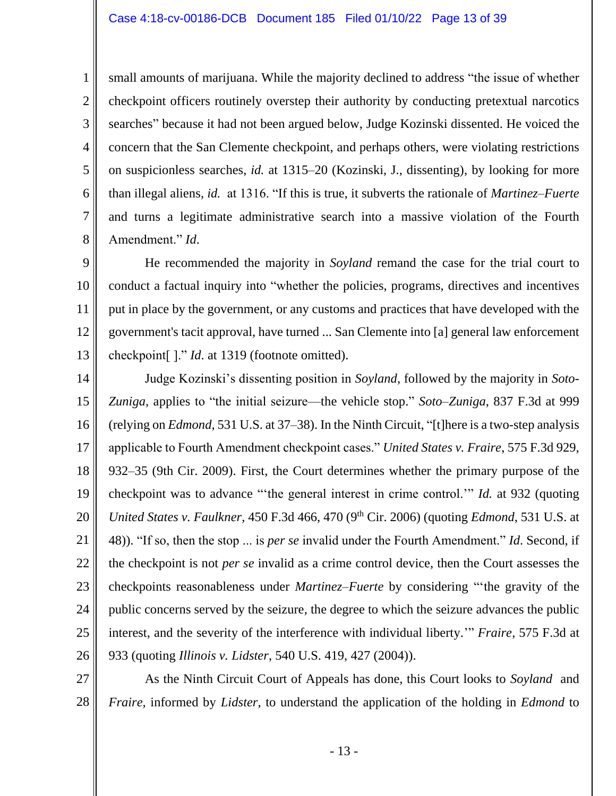1 2 3 4 5 small amounts of marijuana. While the majority declined to address "the issue of whether checkpoint officers routinely overstep their authority by conducting pretextual narcotics searches" because it had not been argued below, Judge Kozinski dissented. He voiced the concern that the San Clemente checkpoint, and perhaps others, were violating restrictions on suspicionless searches, *id.* at 1315–20 (Kozinski, J., dissenting), by looking for more

6

7

8

than illegal aliens, *id.* at 1316. "If this is true, it subverts the rationale of *Martinez–Fuerte* and turns a legitimate administrative search into a massive violation of the Fourth Amendment." *Id*.

9 10 11 12 13 He recommended the majority in *Soyland* remand the case for the trial court to conduct a factual inquiry into "whether the policies, programs, directives and incentives put in place by the government, or any customs and practices that have developed with the government's tacit approval, have turned ... San Clemente into [a] general law enforcement checkpoint[ ]." *Id*. at 1319 (footnote omitted).

14 15 16 17 18 19 20 21 22 23 24 25 26 Judge Kozinski's dissenting position in *Soyland,* followed by the majority in *Soto-Zuniga,* applies to "the initial seizure—the vehicle stop." *Soto–Zuniga*, 837 F.3d at 999 (relying on *Edmond,* 531 U.S. at 37–38). In the Ninth Circuit, "[t]here is a two-step analysis applicable to Fourth Amendment checkpoint cases." *United States v. Fraire*, 575 F.3d 929, 932–35 (9th Cir. 2009). First, the Court determines whether the primary purpose of the checkpoint was to advance "'the general interest in crime control.'" *Id.* at 932 (quoting *United States v. Faulkner*, 450 F.3d 466, 470 (9<sup>th</sup> Cir. 2006) (quoting *Edmond*, 531 U.S. at 48)). "If so, then the stop ... is *per se* invalid under the Fourth Amendment." *Id*. Second, if the checkpoint is not *per se* invalid as a crime control device, then the Court assesses the checkpoints reasonableness under *Martinez–Fuerte* by considering "'the gravity of the public concerns served by the seizure, the degree to which the seizure advances the public interest, and the severity of the interference with individual liberty.'" *Fraire*, 575 F.3d at 933 (quoting *Illinois v. Lidster*, 540 U.S. 419, 427 (2004)).

27 28 As the Ninth Circuit Court of Appeals has done, this Court looks to *Soyland* and *Fraire,* informed by *Lidster,* to understand the application of the holding in *Edmond* to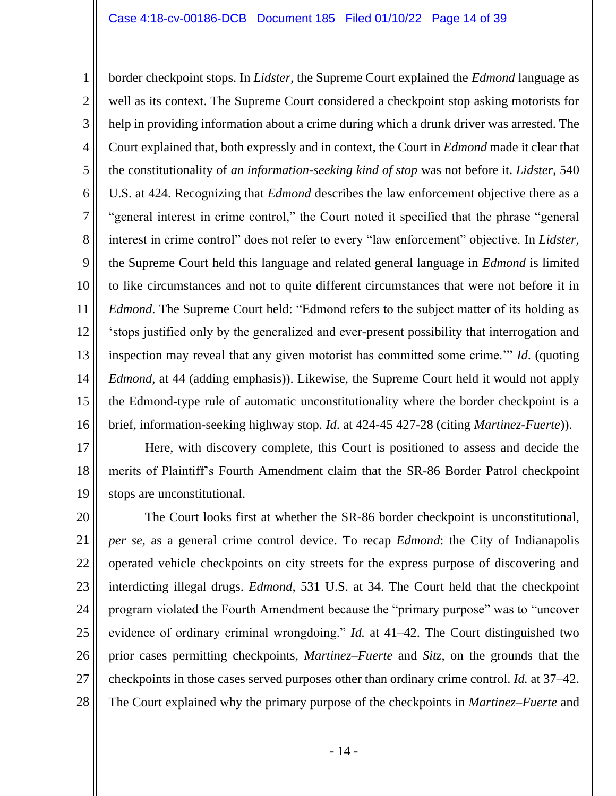1 2 3 4 5 6 7 8 9 10 11 12 13 14 15 16 border checkpoint stops. In *Lidster,* the Supreme Court explained the *Edmond* language as well as its context. The Supreme Court considered a checkpoint stop asking motorists for help in providing information about a crime during which a drunk driver was arrested. The Court explained that, both expressly and in context, the Court in *Edmond* made it clear that the constitutionality of *an information-seeking kind of stop* was not before it. *Lidster*, 540 U.S. at 424. Recognizing that *Edmond* describes the law enforcement objective there as a "general interest in crime control," the Court noted it specified that the phrase "general interest in crime control" does not refer to every "law enforcement" objective. In *Lidster,*  the Supreme Court held this language and related general language in *Edmond* is limited to like circumstances and not to quite different circumstances that were not before it in *Edmond*. The Supreme Court held: "Edmond refers to the subject matter of its holding as 'stops justified only by the generalized and ever-present possibility that interrogation and inspection may reveal that any given motorist has committed some crime.'" *Id*. (quoting *Edmond*, at 44 (adding emphasis)). Likewise, the Supreme Court held it would not apply the Edmond-type rule of automatic unconstitutionality where the border checkpoint is a brief, information-seeking highway stop. *Id*. at 424-45 427-28 (citing *Martinez-Fuerte*)).

17 18 19 Here, with discovery complete, this Court is positioned to assess and decide the merits of Plaintiff's Fourth Amendment claim that the SR-86 Border Patrol checkpoint stops are unconstitutional.

20 21 22 23 24 25 26 27 28 The Court looks first at whether the SR-86 border checkpoint is unconstitutional, *per se,* as a general crime control device. To recap *Edmond*: the City of Indianapolis operated vehicle checkpoints on city streets for the express purpose of discovering and interdicting illegal drugs. *Edmond,* 531 U.S. at 34. The Court held that the checkpoint program violated the Fourth Amendment because the "primary purpose" was to "uncover evidence of ordinary criminal wrongdoing." *Id.* at 41–42. The Court distinguished two prior cases permitting checkpoints, *Martinez–Fuerte* and *Sitz*, on the grounds that the checkpoints in those cases served purposes other than ordinary crime control. *Id.* at 37–42. The Court explained why the primary purpose of the checkpoints in *Martinez–Fuerte* and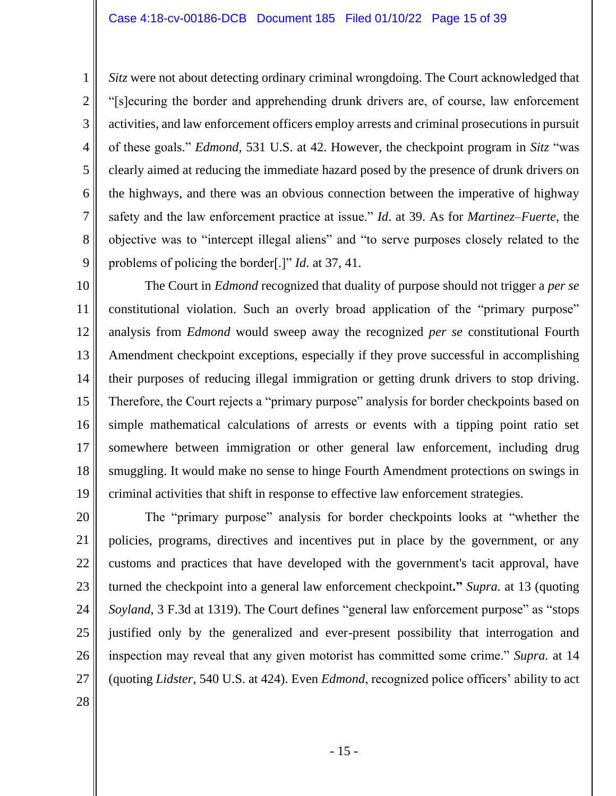*Sitz* were not about detecting ordinary criminal wrongdoing. The Court acknowledged that "[s]ecuring the border and apprehending drunk drivers are, of course, law enforcement activities, and law enforcement officers employ arrests and criminal prosecutions in pursuit of these goals." *Edmond,* 531 U.S. at 42. However, the checkpoint program in *Sitz* "was clearly aimed at reducing the immediate hazard posed by the presence of drunk drivers on the highways, and there was an obvious connection between the imperative of highway safety and the law enforcement practice at issue." *Id*. at 39. As for *Martinez–Fuerte*, the objective was to "intercept illegal aliens" and "to serve purposes closely related to the problems of policing the border[.]" *Id*. at 37, 41.

10 11 12 13 14 15 16 17 18 19 The Court in *Edmond* recognized that duality of purpose should not trigger a *per se* constitutional violation. Such an overly broad application of the "primary purpose" analysis from *Edmond* would sweep away the recognized *per se* constitutional Fourth Amendment checkpoint exceptions, especially if they prove successful in accomplishing their purposes of reducing illegal immigration or getting drunk drivers to stop driving. Therefore, the Court rejects a "primary purpose" analysis for border checkpoints based on simple mathematical calculations of arrests or events with a tipping point ratio set somewhere between immigration or other general law enforcement, including drug smuggling. It would make no sense to hinge Fourth Amendment protections on swings in criminal activities that shift in response to effective law enforcement strategies.

20 21 22 23 24 25 26 27 The "primary purpose" analysis for border checkpoints looks at "whether the policies, programs, directives and incentives put in place by the government, or any customs and practices that have developed with the government's tacit approval, have turned the checkpoint into a general law enforcement checkpoint**."** *Supra.* at 13 (quoting *Soyland,* 3 F.3d at 1319). The Court defines "general law enforcement purpose" as "stops justified only by the generalized and ever-present possibility that interrogation and inspection may reveal that any given motorist has committed some crime." *Supra.* at 14 (quoting *Lidster*, 540 U.S. at 424). Even *Edmond*, recognized police officers' ability to act

28

1

2

3

4

5

6

7

8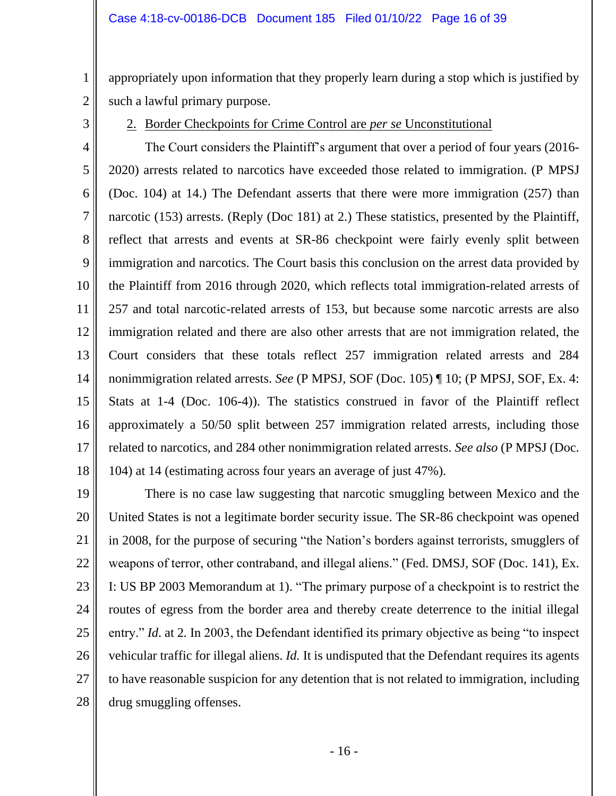appropriately upon information that they properly learn during a stop which is justified by such a lawful primary purpose.

2 3

1

## 2. Border Checkpoints for Crime Control are *per se* Unconstitutional

4 5 6 7 8 9 10 11 12 13 14 15 16 17 18 The Court considers the Plaintiff's argument that over a period of four years (2016- 2020) arrests related to narcotics have exceeded those related to immigration. (P MPSJ (Doc. 104) at 14.) The Defendant asserts that there were more immigration (257) than narcotic (153) arrests. (Reply (Doc 181) at 2.) These statistics, presented by the Plaintiff, reflect that arrests and events at SR-86 checkpoint were fairly evenly split between immigration and narcotics. The Court basis this conclusion on the arrest data provided by the Plaintiff from 2016 through 2020, which reflects total immigration-related arrests of 257 and total narcotic-related arrests of 153, but because some narcotic arrests are also immigration related and there are also other arrests that are not immigration related, the Court considers that these totals reflect 257 immigration related arrests and 284 nonimmigration related arrests. *See* (P MPSJ, SOF (Doc. 105) ¶ 10; (P MPSJ, SOF, Ex. 4: Stats at 1-4 (Doc. 106-4)). The statistics construed in favor of the Plaintiff reflect approximately a 50/50 split between 257 immigration related arrests, including those related to narcotics, and 284 other nonimmigration related arrests. *See also* (P MPSJ (Doc. 104) at 14 (estimating across four years an average of just 47%).

19 20 21 22 23 24 25 26 27 28 There is no case law suggesting that narcotic smuggling between Mexico and the United States is not a legitimate border security issue. The SR-86 checkpoint was opened in 2008, for the purpose of securing "the Nation's borders against terrorists, smugglers of weapons of terror, other contraband, and illegal aliens." (Fed. DMSJ, SOF (Doc. 141), Ex. I: US BP 2003 Memorandum at 1). "The primary purpose of a checkpoint is to restrict the routes of egress from the border area and thereby create deterrence to the initial illegal entry." *Id*. at 2*.* In 2003, the Defendant identified its primary objective as being "to inspect vehicular traffic for illegal aliens. *Id.* It is undisputed that the Defendant requires its agents to have reasonable suspicion for any detention that is not related to immigration, including drug smuggling offenses.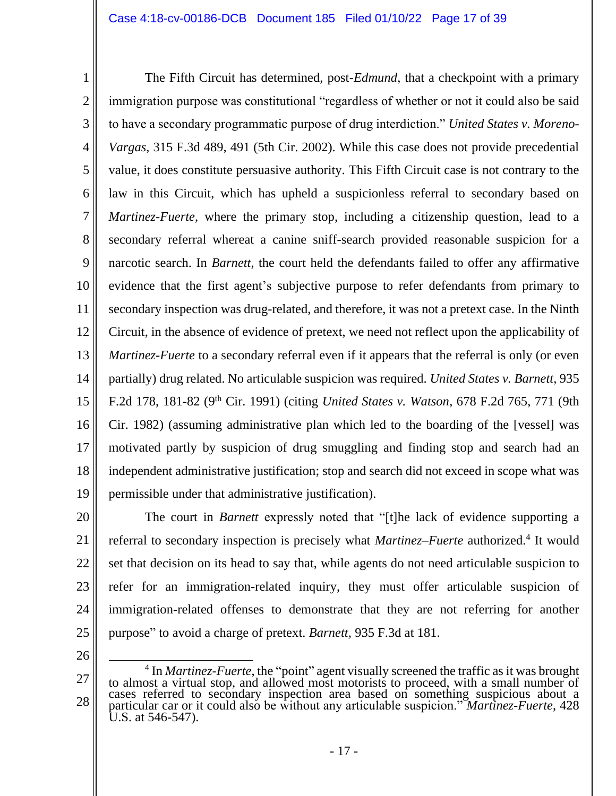1 2 3 4 5 6 7 8 9 10 11 12 13 14 15 16 17 18 19 The Fifth Circuit has determined, post-*Edmund*, that a checkpoint with a primary immigration purpose was constitutional "regardless of whether or not it could also be said to have a secondary programmatic purpose of drug interdiction." *United States v. Moreno-Vargas*, 315 F.3d 489, 491 (5th Cir. 2002). While this case does not provide precedential value, it does constitute persuasive authority. This Fifth Circuit case is not contrary to the law in this Circuit, which has upheld a suspicionless referral to secondary based on *Martinez-Fuerte*, where the primary stop, including a citizenship question, lead to a secondary referral whereat a canine sniff-search provided reasonable suspicion for a narcotic search. In *Barnett*, the court held the defendants failed to offer any affirmative evidence that the first agent's subjective purpose to refer defendants from primary to secondary inspection was drug-related, and therefore, it was not a pretext case. In the Ninth Circuit, in the absence of evidence of pretext, we need not reflect upon the applicability of *Martinez-Fuerte* to a secondary referral even if it appears that the referral is only (or even partially) drug related. No articulable suspicion was required. *United States v. Barnett*, 935 F.2d 178, 181-82 (9<sup>th</sup> Cir. 1991) (citing *United States v. Watson*, 678 F.2d 765, 771 (9th Cir. 1982) (assuming administrative plan which led to the boarding of the [vessel] was motivated partly by suspicion of drug smuggling and finding stop and search had an independent administrative justification; stop and search did not exceed in scope what was permissible under that administrative justification).

20 21

22 23 24 25 The court in *Barnett* expressly noted that "[t]he lack of evidence supporting a referral to secondary inspection is precisely what *Martinez–Fuerte* authorized.<sup>4</sup> It would set that decision on its head to say that, while agents do not need articulable suspicion to refer for an immigration-related inquiry, they must offer articulable suspicion of immigration-related offenses to demonstrate that they are not referring for another purpose" to avoid a charge of pretext. *Barnett,* 935 F.3d at 181.

<sup>27</sup> 28 <sup>4</sup> In *Martinez-Fuerte*, the "point" agent visually screened the traffic as it was brought to almost a virtual stop, and allowed most motorists to proceed, with a small number of cases referred to secondary inspection area based on something suspicious about a particular car or it could also be without any articulable suspicion." *Martinez-Fuerte*, 428 U.S. at 546-547).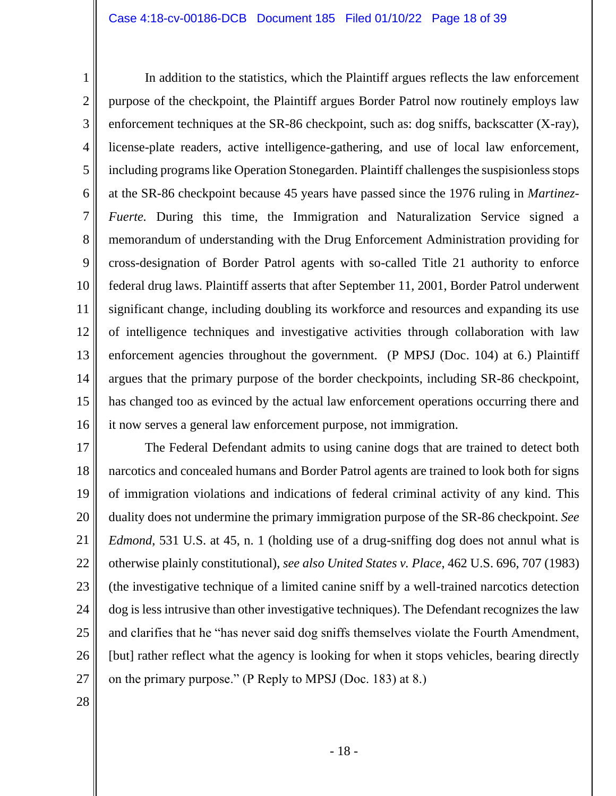1 2 3 4 5 6 7 8 9 10 11 12 13 14 15 16 In addition to the statistics, which the Plaintiff argues reflects the law enforcement purpose of the checkpoint, the Plaintiff argues Border Patrol now routinely employs law enforcement techniques at the SR-86 checkpoint, such as: dog sniffs, backscatter (X-ray), license-plate readers, active intelligence-gathering, and use of local law enforcement, including programs like Operation Stonegarden. Plaintiff challenges the suspisionless stops at the SR-86 checkpoint because 45 years have passed since the 1976 ruling in *Martinez-Fuerte.* During this time, the Immigration and Naturalization Service signed a memorandum of understanding with the Drug Enforcement Administration providing for cross-designation of Border Patrol agents with so-called Title 21 authority to enforce federal drug laws. Plaintiff asserts that after September 11, 2001, Border Patrol underwent significant change, including doubling its workforce and resources and expanding its use of intelligence techniques and investigative activities through collaboration with law enforcement agencies throughout the government. (P MPSJ (Doc. 104) at 6.) Plaintiff argues that the primary purpose of the border checkpoints, including SR-86 checkpoint, has changed too as evinced by the actual law enforcement operations occurring there and it now serves a general law enforcement purpose, not immigration.

17 18 19 20 21 22 23 24 25 26 27 The Federal Defendant admits to using canine dogs that are trained to detect both narcotics and concealed humans and Border Patrol agents are trained to look both for signs of immigration violations and indications of federal criminal activity of any kind. This duality does not undermine the primary immigration purpose of the SR-86 checkpoint. *See Edmond*, 531 U.S. at 45, n. 1 (holding use of a drug-sniffing dog does not annul what is otherwise plainly constitutional), *see also United States v. Place*, 462 U.S. 696, 707 (1983) (the investigative technique of a limited canine sniff by a well-trained narcotics detection dog is less intrusive than other investigative techniques). The Defendant recognizes the law and clarifies that he "has never said dog sniffs themselves violate the Fourth Amendment, [but] rather reflect what the agency is looking for when it stops vehicles, bearing directly on the primary purpose." (P Reply to MPSJ (Doc. 183) at 8.)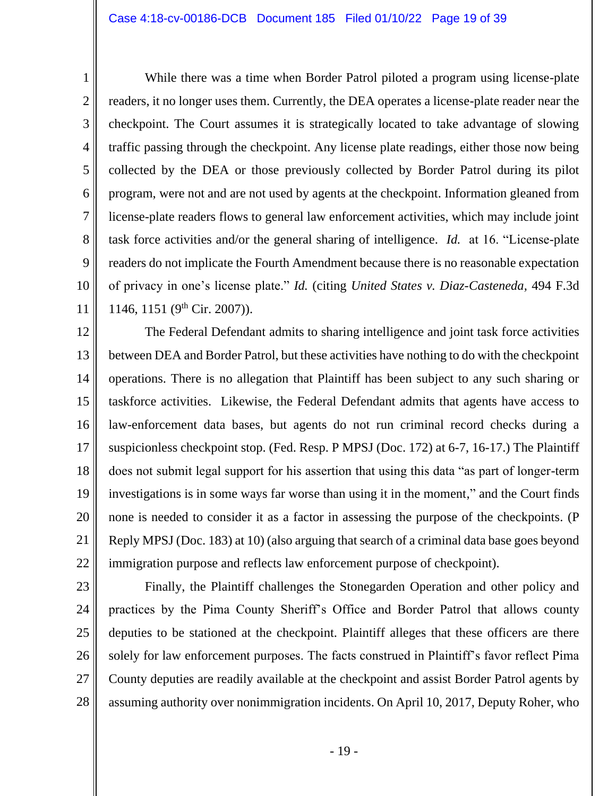6

7

8

9

10

11

1

While there was a time when Border Patrol piloted a program using license-plate readers, it no longer uses them. Currently, the DEA operates a license-plate reader near the checkpoint. The Court assumes it is strategically located to take advantage of slowing traffic passing through the checkpoint. Any license plate readings, either those now being collected by the DEA or those previously collected by Border Patrol during its pilot program, were not and are not used by agents at the checkpoint. Information gleaned from license-plate readers flows to general law enforcement activities, which may include joint task force activities and/or the general sharing of intelligence. *Id.* at 16. "License-plate readers do not implicate the Fourth Amendment because there is no reasonable expectation of privacy in one's license plate." *Id.* (citing *United States v. Diaz-Casteneda,* 494 F.3d 1146, 1151 (9<sup>th</sup> Cir. 2007)).

12 13 14 15 16 17 18 19 20 21 22 The Federal Defendant admits to sharing intelligence and joint task force activities between DEA and Border Patrol, but these activities have nothing to do with the checkpoint operations. There is no allegation that Plaintiff has been subject to any such sharing or taskforce activities. Likewise, the Federal Defendant admits that agents have access to law-enforcement data bases, but agents do not run criminal record checks during a suspicionless checkpoint stop. (Fed. Resp. P MPSJ (Doc. 172) at 6-7, 16-17.) The Plaintiff does not submit legal support for his assertion that using this data "as part of longer-term investigations is in some ways far worse than using it in the moment," and the Court finds none is needed to consider it as a factor in assessing the purpose of the checkpoints. (P Reply MPSJ (Doc. 183) at 10) (also arguing that search of a criminal data base goes beyond immigration purpose and reflects law enforcement purpose of checkpoint).

23 24 25 26 27 28 Finally, the Plaintiff challenges the Stonegarden Operation and other policy and practices by the Pima County Sheriff's Office and Border Patrol that allows county deputies to be stationed at the checkpoint. Plaintiff alleges that these officers are there solely for law enforcement purposes. The facts construed in Plaintiff's favor reflect Pima County deputies are readily available at the checkpoint and assist Border Patrol agents by assuming authority over nonimmigration incidents. On April 10, 2017, Deputy Roher, who

- 19 -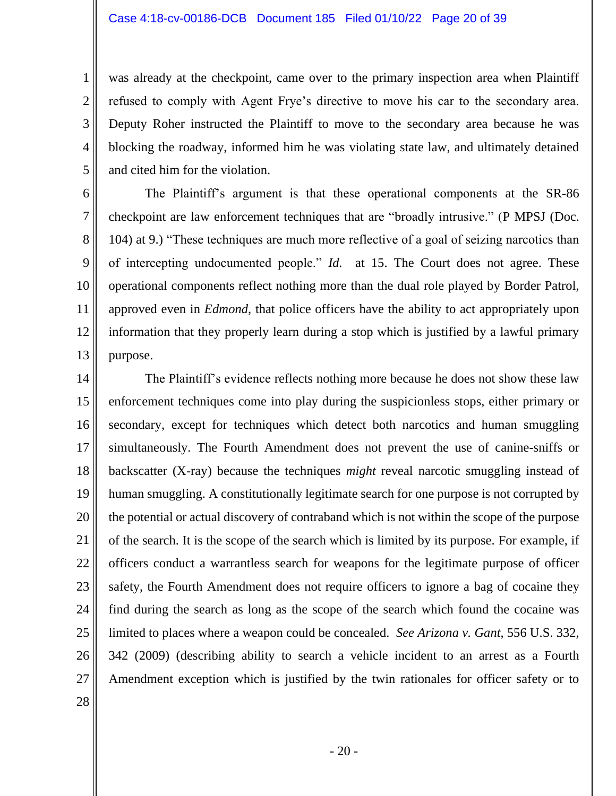was already at the checkpoint, came over to the primary inspection area when Plaintiff refused to comply with Agent Frye's directive to move his car to the secondary area. Deputy Roher instructed the Plaintiff to move to the secondary area because he was blocking the roadway, informed him he was violating state law, and ultimately detained and cited him for the violation.

6 7 8 9 10 11 12 13 The Plaintiff's argument is that these operational components at the SR-86 checkpoint are law enforcement techniques that are "broadly intrusive." (P MPSJ (Doc. 104) at 9.) "These techniques are much more reflective of a goal of seizing narcotics than of intercepting undocumented people." *Id.* at 15. The Court does not agree. These operational components reflect nothing more than the dual role played by Border Patrol, approved even in *Edmond,* that police officers have the ability to act appropriately upon information that they properly learn during a stop which is justified by a lawful primary purpose.

14 15 16 17 18 19 20 21 22 23 24 25 26 27 The Plaintiff's evidence reflects nothing more because he does not show these law enforcement techniques come into play during the suspicionless stops, either primary or secondary, except for techniques which detect both narcotics and human smuggling simultaneously. The Fourth Amendment does not prevent the use of canine-sniffs or backscatter (X-ray) because the techniques *might* reveal narcotic smuggling instead of human smuggling. A constitutionally legitimate search for one purpose is not corrupted by the potential or actual discovery of contraband which is not within the scope of the purpose of the search. It is the scope of the search which is limited by its purpose. For example, if officers conduct a warrantless search for weapons for the legitimate purpose of officer safety, the Fourth Amendment does not require officers to ignore a bag of cocaine they find during the search as long as the scope of the search which found the cocaine was limited to places where a weapon could be concealed. *See Arizona v. Gant*, 556 U.S. 332, 342 (2009) (describing ability to search a vehicle incident to an arrest as a Fourth Amendment exception which is justified by the twin rationales for officer safety or to

28

1

2

3

4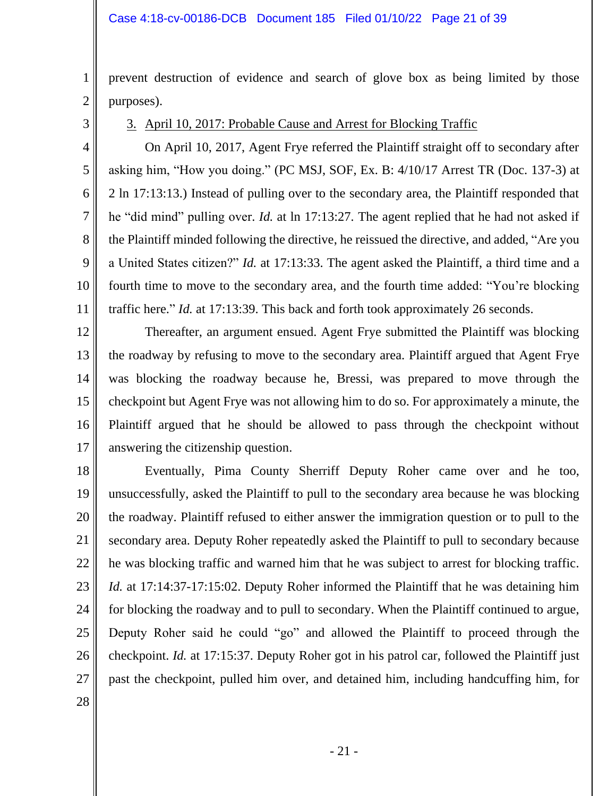prevent destruction of evidence and search of glove box as being limited by those purposes).

3

4

5

6

7

8

9

10

11

1

2

3. April 10, 2017: Probable Cause and Arrest for Blocking Traffic

On April 10, 2017, Agent Frye referred the Plaintiff straight off to secondary after asking him, "How you doing." (PC MSJ, SOF, Ex. B: 4/10/17 Arrest TR (Doc. 137-3) at 2 ln 17:13:13.) Instead of pulling over to the secondary area, the Plaintiff responded that he "did mind" pulling over. *Id.* at ln 17:13:27*.* The agent replied that he had not asked if the Plaintiff minded following the directive, he reissued the directive, and added, "Are you a United States citizen?" *Id.* at 17:13:33. The agent asked the Plaintiff, a third time and a fourth time to move to the secondary area, and the fourth time added: "You're blocking traffic here." *Id.* at 17:13:39. This back and forth took approximately 26 seconds.

12 13 14 15 16 17 Thereafter, an argument ensued. Agent Frye submitted the Plaintiff was blocking the roadway by refusing to move to the secondary area. Plaintiff argued that Agent Frye was blocking the roadway because he, Bressi, was prepared to move through the checkpoint but Agent Frye was not allowing him to do so. For approximately a minute, the Plaintiff argued that he should be allowed to pass through the checkpoint without answering the citizenship question.

18 19 20 21 22 23 24 25 26 27 Eventually, Pima County Sherriff Deputy Roher came over and he too, unsuccessfully, asked the Plaintiff to pull to the secondary area because he was blocking the roadway. Plaintiff refused to either answer the immigration question or to pull to the secondary area. Deputy Roher repeatedly asked the Plaintiff to pull to secondary because he was blocking traffic and warned him that he was subject to arrest for blocking traffic. *Id.* at 17:14:37-17:15:02. Deputy Roher informed the Plaintiff that he was detaining him for blocking the roadway and to pull to secondary. When the Plaintiff continued to argue, Deputy Roher said he could "go" and allowed the Plaintiff to proceed through the checkpoint. *Id.* at 17:15:37. Deputy Roher got in his patrol car, followed the Plaintiff just past the checkpoint, pulled him over, and detained him, including handcuffing him, for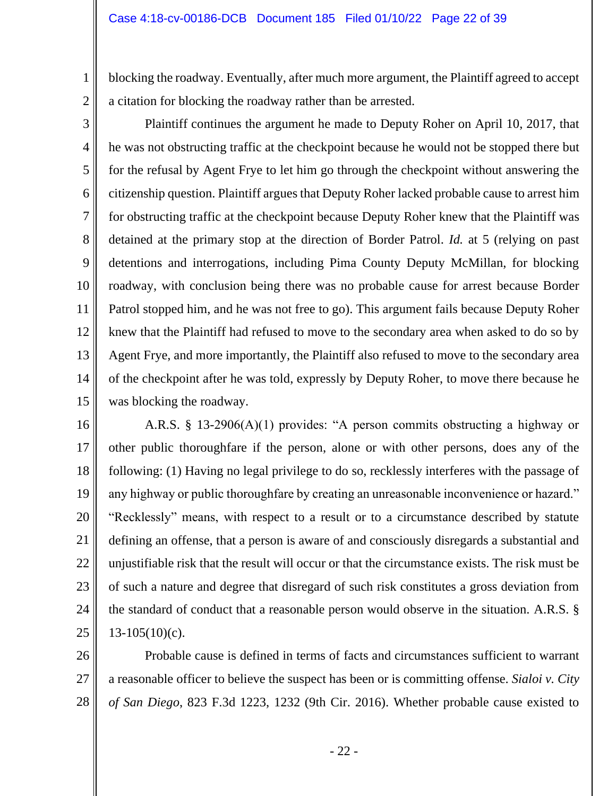blocking the roadway. Eventually, after much more argument, the Plaintiff agreed to accept a citation for blocking the roadway rather than be arrested.

2 3

1

4 5 6 7 8 9 10 11 12 13 14 15 Plaintiff continues the argument he made to Deputy Roher on April 10, 2017, that he was not obstructing traffic at the checkpoint because he would not be stopped there but for the refusal by Agent Frye to let him go through the checkpoint without answering the citizenship question. Plaintiff argues that Deputy Roher lacked probable cause to arrest him for obstructing traffic at the checkpoint because Deputy Roher knew that the Plaintiff was detained at the primary stop at the direction of Border Patrol. *Id.* at 5 (relying on past detentions and interrogations, including Pima County Deputy McMillan, for blocking roadway, with conclusion being there was no probable cause for arrest because Border Patrol stopped him, and he was not free to go). This argument fails because Deputy Roher knew that the Plaintiff had refused to move to the secondary area when asked to do so by Agent Frye, and more importantly, the Plaintiff also refused to move to the secondary area of the checkpoint after he was told, expressly by Deputy Roher, to move there because he was blocking the roadway.

16

17 18 19 20 21 22 23 24 25 A.R.S. § 13-2906(A)(1) provides: "A person commits obstructing a highway or other public thoroughfare if the person, alone or with other persons, does any of the following: (1) Having no legal privilege to do so, recklessly interferes with the passage of any highway or public thoroughfare by creating an unreasonable inconvenience or hazard." "Recklessly" means, with respect to a result or to a circumstance described by statute defining an offense, that a person is aware of and consciously disregards a substantial and unjustifiable risk that the result will occur or that the circumstance exists. The risk must be of such a nature and degree that disregard of such risk constitutes a gross deviation from the standard of conduct that a reasonable person would observe in the situation. A.R.S. §  $13-105(10)(c)$ .

26 27 28 Probable cause is defined in terms of facts and circumstances sufficient to warrant a reasonable officer to believe the suspect has been or is committing offense. *Sialoi v. City of San Diego*, 823 F.3d 1223, 1232 (9th Cir. 2016). Whether probable cause existed to

- 22 -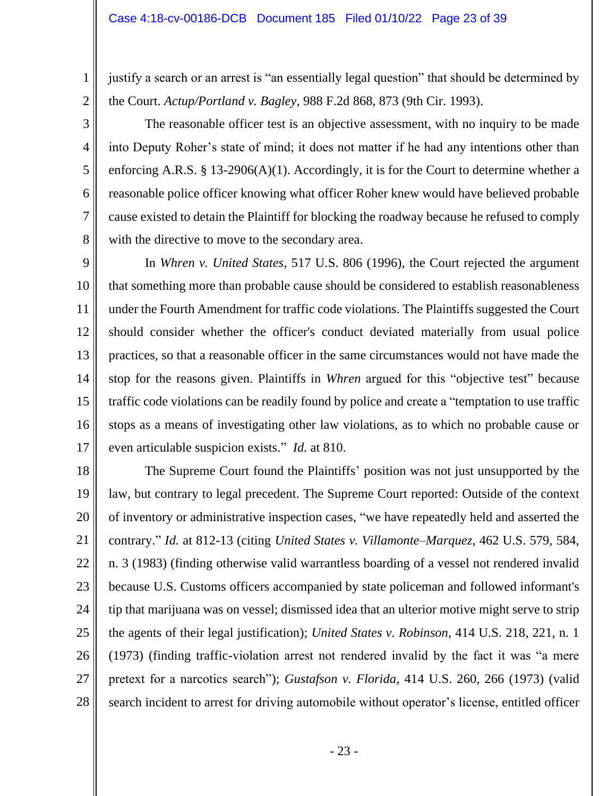2

3

4

5

6

7

8

justify a search or an arrest is "an essentially legal question" that should be determined by the Court. *Actup/Portland v. Bagley*, 988 F.2d 868, 873 (9th Cir. 1993).

The reasonable officer test is an objective assessment, with no inquiry to be made into Deputy Roher's state of mind; it does not matter if he had any intentions other than enforcing A.R.S. § 13-2906(A)(1). Accordingly, it is for the Court to determine whether a reasonable police officer knowing what officer Roher knew would have believed probable cause existed to detain the Plaintiff for blocking the roadway because he refused to comply with the directive to move to the secondary area.

9 10 11 12 13 14 15 16 17 In *Whren v. United States,* 517 U.S. 806 (1996), the Court rejected the argument that something more than probable cause should be considered to establish reasonableness under the Fourth Amendment for traffic code violations. The Plaintiffs suggested the Court should consider whether the officer's conduct deviated materially from usual police practices, so that a reasonable officer in the same circumstances would not have made the stop for the reasons given. Plaintiffs in *Whren* argued for this "objective test" because traffic code violations can be readily found by police and create a "temptation to use traffic stops as a means of investigating other law violations, as to which no probable cause or even articulable suspicion exists." *Id.* at 810.

18 19 20 21 22 23 24 25 26 27 28 The Supreme Court found the Plaintiffs' position was not just unsupported by the law, but contrary to legal precedent. The Supreme Court reported: Outside of the context of inventory or administrative inspection cases, "we have repeatedly held and asserted the contrary." *Id.* at 812-13 (citing *United States v. Villamonte–Marquez*, 462 U.S. 579, 584, n. 3 (1983) (finding otherwise valid warrantless boarding of a vessel not rendered invalid because U.S. Customs officers accompanied by state policeman and followed informant's tip that marijuana was on vessel; dismissed idea that an ulterior motive might serve to strip the agents of their legal justification); *United States v. Robinson*, 414 U.S. 218, 221, n. 1 (1973) (finding traffic-violation arrest not rendered invalid by the fact it was "a mere pretext for a narcotics search"); *Gustafson v. Florida*, 414 U.S. 260, 266 (1973) (valid search incident to arrest for driving automobile without operator's license, entitled officer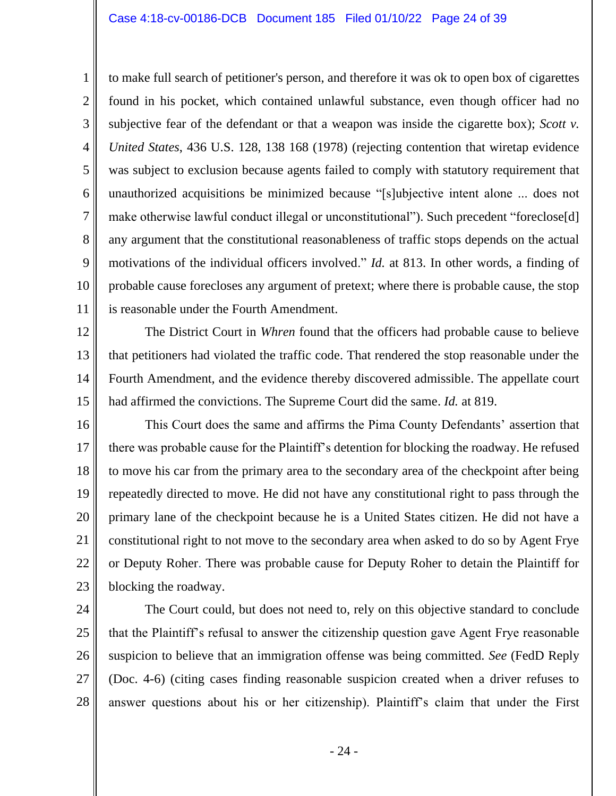#### Case 4:18-cv-00186-DCB Document 185 Filed 01/10/22 Page 24 of 39

1 2 3 4 5 6 7 8 9 10 11 to make full search of petitioner's person, and therefore it was ok to open box of cigarettes found in his pocket, which contained unlawful substance, even though officer had no subjective fear of the defendant or that a weapon was inside the cigarette box); *Scott v. United States*, 436 U.S. 128, 138 168 (1978) (rejecting contention that wiretap evidence was subject to exclusion because agents failed to comply with statutory requirement that unauthorized acquisitions be minimized because "[s]ubjective intent alone ... does not make otherwise lawful conduct illegal or unconstitutional"). Such precedent "foreclose[d] any argument that the constitutional reasonableness of traffic stops depends on the actual motivations of the individual officers involved." *Id.* at 813. In other words, a finding of probable cause forecloses any argument of pretext; where there is probable cause, the stop is reasonable under the Fourth Amendment.

12 13 14 15 The District Court in *Whren* found that the officers had probable cause to believe that petitioners had violated the traffic code. That rendered the stop reasonable under the Fourth Amendment, and the evidence thereby discovered admissible. The appellate court had affirmed the convictions. The Supreme Court did the same. *Id.* at 819.

16 17 18 19 20 21 22 23 This Court does the same and affirms the Pima County Defendants' assertion that there was probable cause for the Plaintiff's detention for blocking the roadway. He refused to move his car from the primary area to the secondary area of the checkpoint after being repeatedly directed to move. He did not have any constitutional right to pass through the primary lane of the checkpoint because he is a United States citizen. He did not have a constitutional right to not move to the secondary area when asked to do so by Agent Frye or Deputy Roher. There was probable cause for Deputy Roher to detain the Plaintiff for blocking the roadway.

24

25 26 27 28 The Court could, but does not need to, rely on this objective standard to conclude that the Plaintiff's refusal to answer the citizenship question gave Agent Frye reasonable suspicion to believe that an immigration offense was being committed. *See* (FedD Reply (Doc. 4-6) (citing cases finding reasonable suspicion created when a driver refuses to answer questions about his or her citizenship). Plaintiff's claim that under the First

- 24 -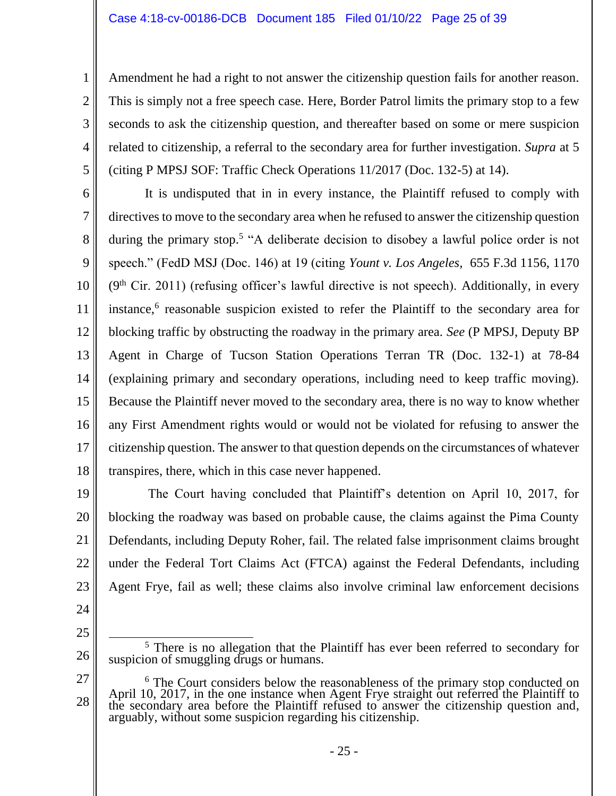Amendment he had a right to not answer the citizenship question fails for another reason. This is simply not a free speech case. Here, Border Patrol limits the primary stop to a few seconds to ask the citizenship question, and thereafter based on some or mere suspicion related to citizenship, a referral to the secondary area for further investigation. *Supra* at 5 (citing P MPSJ SOF: Traffic Check Operations 11/2017 (Doc. 132-5) at 14).

6 7 8 9 10 11 12 13 14 15 16 17 18 It is undisputed that in in every instance, the Plaintiff refused to comply with directives to move to the secondary area when he refused to answer the citizenship question during the primary stop.<sup>5</sup> "A deliberate decision to disobey a lawful police order is not speech." (FedD MSJ (Doc. 146) at 19 (citing *Yount v. Los Angeles,* 655 F.3d 1156, 1170  $(9<sup>th</sup> Cir. 2011)$  (refusing officer's lawful directive is not speech). Additionally, in every instance,<sup>6</sup> reasonable suspicion existed to refer the Plaintiff to the secondary area for blocking traffic by obstructing the roadway in the primary area. *See* (P MPSJ, Deputy BP Agent in Charge of Tucson Station Operations Terran TR (Doc. 132-1) at 78-84 (explaining primary and secondary operations, including need to keep traffic moving). Because the Plaintiff never moved to the secondary area, there is no way to know whether any First Amendment rights would or would not be violated for refusing to answer the citizenship question. The answer to that question depends on the circumstances of whatever transpires, there, which in this case never happened.

19 20 21 22 23 The Court having concluded that Plaintiff's detention on April 10, 2017, for blocking the roadway was based on probable cause, the claims against the Pima County Defendants, including Deputy Roher, fail. The related false imprisonment claims brought under the Federal Tort Claims Act (FTCA) against the Federal Defendants, including Agent Frye, fail as well; these claims also involve criminal law enforcement decisions

24

1

2

3

4

5

25

<sup>&</sup>lt;sup>5</sup> There is no allegation that the Plaintiff has ever been referred to secondary for suspicion of smuggling drugs or humans.

<sup>27</sup> 28 <sup>6</sup> The Court considers below the reasonableness of the primary stop conducted on April 10, 2017, in the one instance when Agent Frye straight out referred the Plaintiff to the secondary area before the Plaintiff refused to answer the citizenship question and, arguably, without some suspicion regarding his citizenship.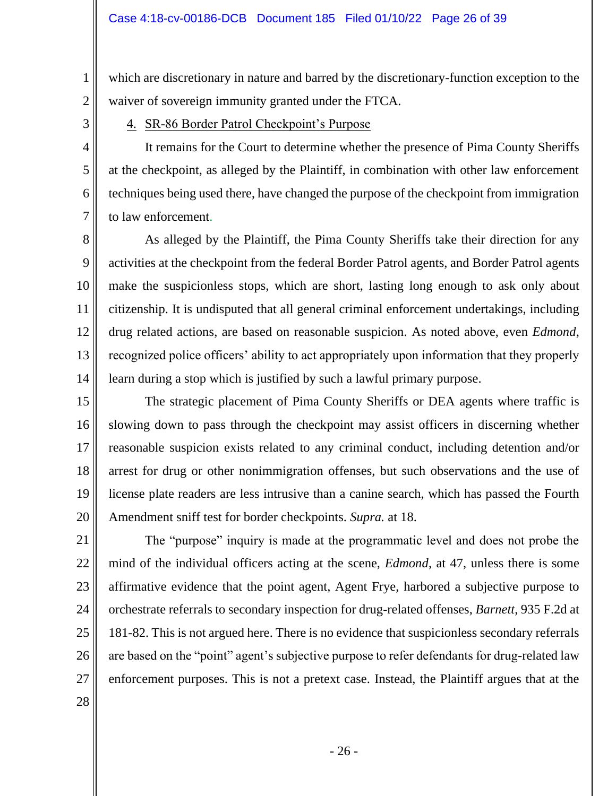which are discretionary in nature and barred by the discretionary-function exception to the waiver of sovereign immunity granted under the FTCA.

4. SR-86 Border Patrol Checkpoint's Purpose

It remains for the Court to determine whether the presence of Pima County Sheriffs at the checkpoint, as alleged by the Plaintiff, in combination with other law enforcement techniques being used there, have changed the purpose of the checkpoint from immigration to law enforcement.

8 9 10 11 12 13 14 As alleged by the Plaintiff, the Pima County Sheriffs take their direction for any activities at the checkpoint from the federal Border Patrol agents, and Border Patrol agents make the suspicionless stops, which are short, lasting long enough to ask only about citizenship. It is undisputed that all general criminal enforcement undertakings, including drug related actions, are based on reasonable suspicion. As noted above, even *Edmond*, recognized police officers' ability to act appropriately upon information that they properly learn during a stop which is justified by such a lawful primary purpose.

15 16 17 18 19 20 The strategic placement of Pima County Sheriffs or DEA agents where traffic is slowing down to pass through the checkpoint may assist officers in discerning whether reasonable suspicion exists related to any criminal conduct, including detention and/or arrest for drug or other nonimmigration offenses, but such observations and the use of license plate readers are less intrusive than a canine search, which has passed the Fourth Amendment sniff test for border checkpoints. *Supra.* at 18.

21 22 23 24 25 26 27 The "purpose" inquiry is made at the programmatic level and does not probe the mind of the individual officers acting at the scene, *Edmond*, at 47, unless there is some affirmative evidence that the point agent, Agent Frye, harbored a subjective purpose to orchestrate referrals to secondary inspection for drug-related offenses, *Barnett*, 935 F.2d at 181-82. This is not argued here. There is no evidence that suspicionless secondary referrals are based on the "point" agent's subjective purpose to refer defendants for drug-related law enforcement purposes. This is not a pretext case. Instead, the Plaintiff argues that at the

28

1

2

3

4

5

6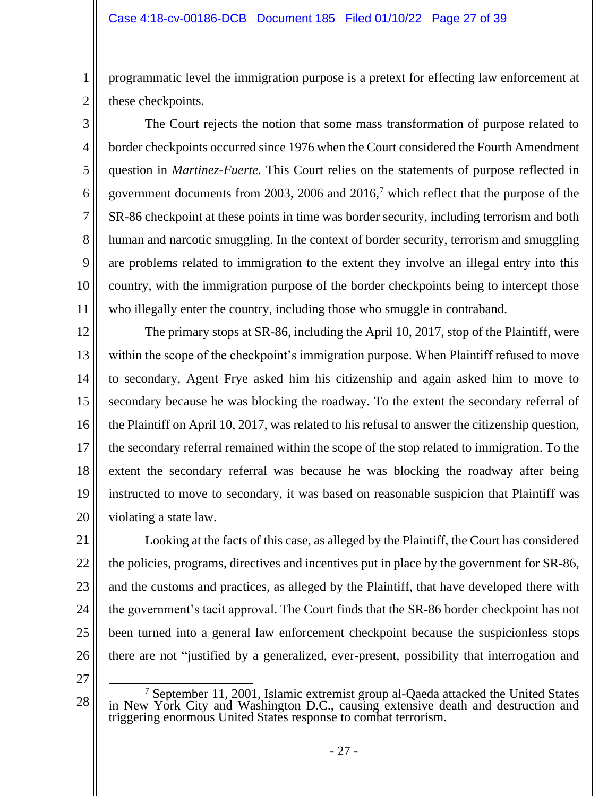programmatic level the immigration purpose is a pretext for effecting law enforcement at these checkpoints.

4 5 6 7 8 10 The Court rejects the notion that some mass transformation of purpose related to border checkpoints occurred since 1976 when the Court considered the Fourth Amendment question in *Martinez-Fuerte.* This Court relies on the statements of purpose reflected in government documents from 2003, 2006 and  $2016<sup>7</sup>$  which reflect that the purpose of the SR-86 checkpoint at these points in time was border security, including terrorism and both human and narcotic smuggling. In the context of border security, terrorism and smuggling are problems related to immigration to the extent they involve an illegal entry into this country, with the immigration purpose of the border checkpoints being to intercept those who illegally enter the country, including those who smuggle in contraband.

12 13 14 15 16 17 18 19 20 The primary stops at SR-86, including the April 10, 2017, stop of the Plaintiff, were within the scope of the checkpoint's immigration purpose. When Plaintiff refused to move to secondary, Agent Frye asked him his citizenship and again asked him to move to secondary because he was blocking the roadway. To the extent the secondary referral of the Plaintiff on April 10, 2017, was related to his refusal to answer the citizenship question, the secondary referral remained within the scope of the stop related to immigration. To the extent the secondary referral was because he was blocking the roadway after being instructed to move to secondary, it was based on reasonable suspicion that Plaintiff was violating a state law.

21 22 23 24 25 26 Looking at the facts of this case, as alleged by the Plaintiff, the Court has considered the policies, programs, directives and incentives put in place by the government for SR-86, and the customs and practices, as alleged by the Plaintiff, that have developed there with the government's tacit approval. The Court finds that the SR-86 border checkpoint has not been turned into a general law enforcement checkpoint because the suspicionless stops there are not "justified by a generalized, ever-present, possibility that interrogation and

27

1

2

3

9

<sup>28</sup>  $7$  September 11, 2001, Islamic extremist group al-Qaeda attacked the United States in New York City and Washington D.C., causing extensive death and destruction and triggering enormous United States response to combat terrorism.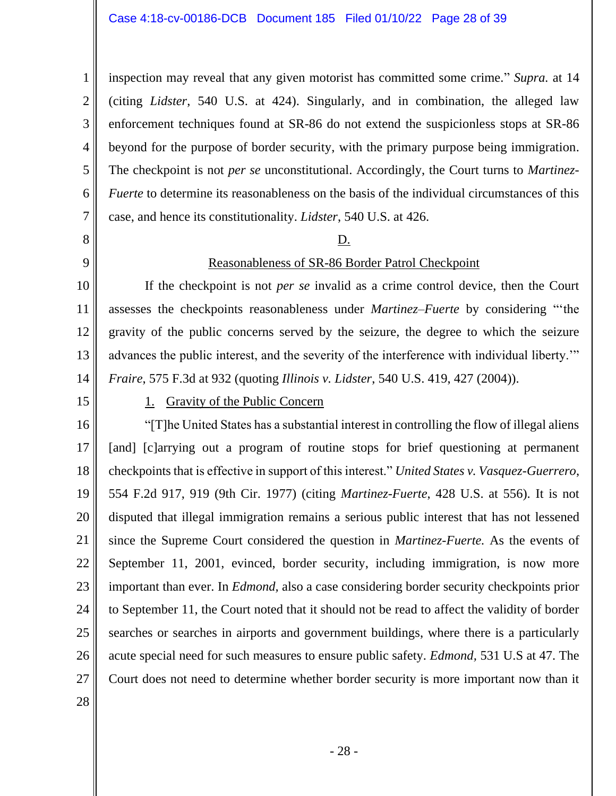4 5 6 7 inspection may reveal that any given motorist has committed some crime." *Supra.* at 14 (citing *Lidster*, 540 U.S. at 424). Singularly, and in combination, the alleged law enforcement techniques found at SR-86 do not extend the suspicionless stops at SR-86 beyond for the purpose of border security, with the primary purpose being immigration. The checkpoint is not *per se* unconstitutional. Accordingly, the Court turns to *Martinez-Fuerte* to determine its reasonableness on the basis of the individual circumstances of this case, and hence its constitutionality. *Lidster*, 540 U.S. at 426.

### D.

### Reasonableness of SR-86 Border Patrol Checkpoint

10 11 12 13 14 If the checkpoint is not *per se* invalid as a crime control device, then the Court assesses the checkpoints reasonableness under *Martinez–Fuerte* by considering "'the gravity of the public concerns served by the seizure, the degree to which the seizure advances the public interest, and the severity of the interference with individual liberty.'" *Fraire*, 575 F.3d at 932 (quoting *Illinois v. Lidster*, 540 U.S. 419, 427 (2004)).

15

1

2

3

8

9

## 1. Gravity of the Public Concern

16 17 18 19 20 21 22 23 24 25 26 27 "[T]he United States has a substantial interest in controlling the flow of illegal aliens [and] [c]arrying out a program of routine stops for brief questioning at permanent checkpoints that is effective in support of this interest." *United States v. Vasquez-Guerrero*, 554 F.2d 917, 919 (9th Cir. 1977) (citing *Martinez-Fuerte*, 428 U.S. at 556). It is not disputed that illegal immigration remains a serious public interest that has not lessened since the Supreme Court considered the question in *Martinez-Fuerte.* As the events of September 11, 2001, evinced, border security, including immigration, is now more important than ever. In *Edmond,* also a case considering border security checkpoints prior to September 11, the Court noted that it should not be read to affect the validity of border searches or searches in airports and government buildings, where there is a particularly acute special need for such measures to ensure public safety. *Edmond,* 531 U.S at 47. The Court does not need to determine whether border security is more important now than it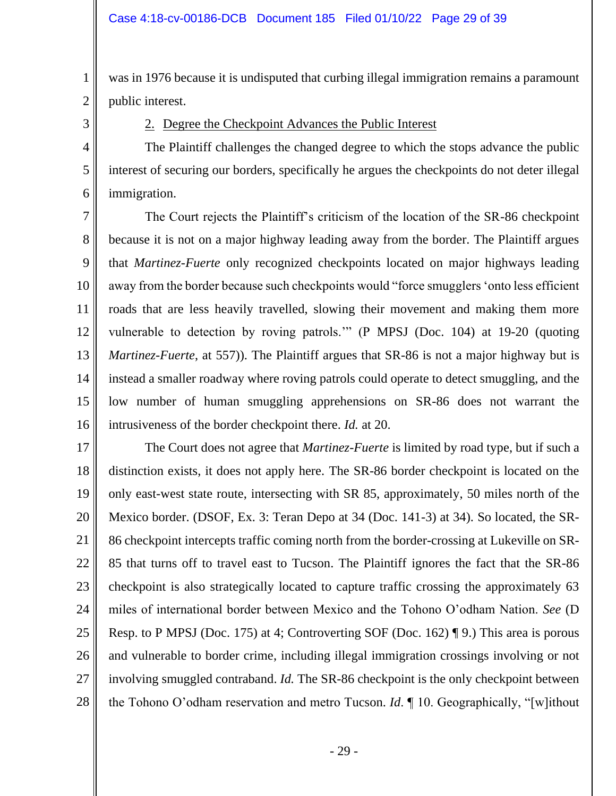was in 1976 because it is undisputed that curbing illegal immigration remains a paramount public interest.

3

4

5

6

1

2

# 2. Degree the Checkpoint Advances the Public Interest

The Plaintiff challenges the changed degree to which the stops advance the public interest of securing our borders, specifically he argues the checkpoints do not deter illegal immigration.

7 8 9 10 11 12 13 14 15 16 The Court rejects the Plaintiff's criticism of the location of the SR-86 checkpoint because it is not on a major highway leading away from the border. The Plaintiff argues that *Martinez-Fuerte* only recognized checkpoints located on major highways leading away from the border because such checkpoints would "force smugglers 'onto less efficient roads that are less heavily travelled, slowing their movement and making them more vulnerable to detection by roving patrols.'" (P MPSJ (Doc. 104) at 19-20 (quoting *Martinez-Fuerte*, at 557)). The Plaintiff argues that SR-86 is not a major highway but is instead a smaller roadway where roving patrols could operate to detect smuggling, and the low number of human smuggling apprehensions on SR-86 does not warrant the intrusiveness of the border checkpoint there. *Id.* at 20.

17 18 19 20 21 22 23 24 25 26 27 28 The Court does not agree that *Martinez-Fuerte* is limited by road type, but if such a distinction exists, it does not apply here. The SR-86 border checkpoint is located on the only east-west state route, intersecting with SR 85, approximately, 50 miles north of the Mexico border. (DSOF, Ex. 3: Teran Depo at 34 (Doc. 141-3) at 34). So located, the SR-86 checkpoint intercepts traffic coming north from the border-crossing at Lukeville on SR-85 that turns off to travel east to Tucson. The Plaintiff ignores the fact that the SR-86 checkpoint is also strategically located to capture traffic crossing the approximately 63 miles of international border between Mexico and the Tohono O'odham Nation. *See* (D Resp. to P MPSJ (Doc. 175) at 4; Controverting SOF (Doc. 162) ¶ 9.) This area is porous and vulnerable to border crime, including illegal immigration crossings involving or not involving smuggled contraband. *Id.* The SR-86 checkpoint is the only checkpoint between the Tohono O'odham reservation and metro Tucson. *Id*. ¶ 10. Geographically, "[w]ithout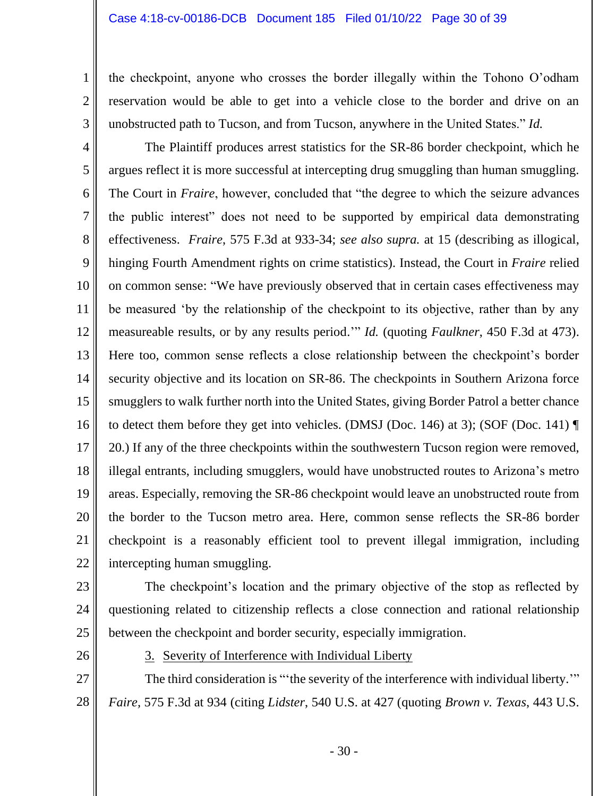#### Case 4:18-cv-00186-DCB Document 185 Filed 01/10/22 Page 30 of 39

the checkpoint, anyone who crosses the border illegally within the Tohono O'odham reservation would be able to get into a vehicle close to the border and drive on an unobstructed path to Tucson, and from Tucson, anywhere in the United States." *Id.*

4 5 6 7 8 9 10 11 12 13 14 15 16 17 18 19 20 21 22 The Plaintiff produces arrest statistics for the SR-86 border checkpoint, which he argues reflect it is more successful at intercepting drug smuggling than human smuggling. The Court in *Fraire*, however, concluded that "the degree to which the seizure advances" the public interest" does not need to be supported by empirical data demonstrating effectiveness. *Fraire*, 575 F.3d at 933-34; *see also supra.* at 15 (describing as illogical, hinging Fourth Amendment rights on crime statistics). Instead, the Court in *Fraire* relied on common sense: "We have previously observed that in certain cases effectiveness may be measured 'by the relationship of the checkpoint to its objective, rather than by any measureable results, or by any results period.'" *Id.* (quoting *Faulkner*, 450 F.3d at 473). Here too, common sense reflects a close relationship between the checkpoint's border security objective and its location on SR-86. The checkpoints in Southern Arizona force smugglers to walk further north into the United States, giving Border Patrol a better chance to detect them before they get into vehicles. (DMSJ (Doc. 146) at 3); (SOF (Doc. 141) ¶ 20.) If any of the three checkpoints within the southwestern Tucson region were removed, illegal entrants, including smugglers, would have unobstructed routes to Arizona's metro areas. Especially, removing the SR-86 checkpoint would leave an unobstructed route from the border to the Tucson metro area. Here, common sense reflects the SR-86 border checkpoint is a reasonably efficient tool to prevent illegal immigration, including intercepting human smuggling.

23

1

2

3

24 25 The checkpoint's location and the primary objective of the stop as reflected by questioning related to citizenship reflects a close connection and rational relationship between the checkpoint and border security, especially immigration.

26

3. Severity of Interference with Individual Liberty

27 28 The third consideration is "'the severity of the interference with individual liberty.'" *Faire,* 575 F.3d at 934 (citing *Lidster*, 540 U.S. at 427 (quoting *Brown v. Texas*, 443 U.S.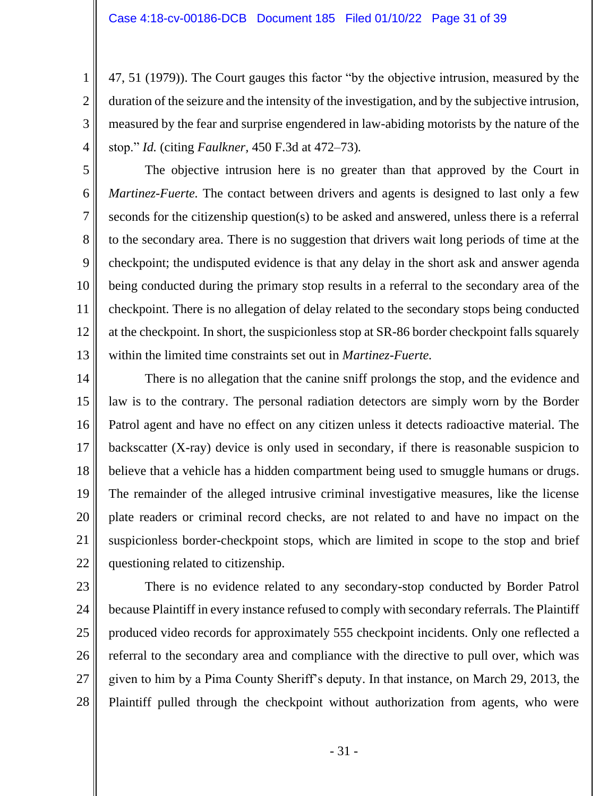2

3

4

5

6

7

8

9

10

11

12

13

47, 51 (1979)). The Court gauges this factor "by the objective intrusion, measured by the duration of the seizure and the intensity of the investigation, and by the subjective intrusion, measured by the fear and surprise engendered in law-abiding motorists by the nature of the stop." *Id.* (citing *Faulkner,* 450 F.3d at 472–73)*.*

The objective intrusion here is no greater than that approved by the Court in *Martinez-Fuerte.* The contact between drivers and agents is designed to last only a few seconds for the citizenship question(s) to be asked and answered, unless there is a referral to the secondary area. There is no suggestion that drivers wait long periods of time at the checkpoint; the undisputed evidence is that any delay in the short ask and answer agenda being conducted during the primary stop results in a referral to the secondary area of the checkpoint. There is no allegation of delay related to the secondary stops being conducted at the checkpoint. In short, the suspicionless stop at SR-86 border checkpoint falls squarely within the limited time constraints set out in *Martinez-Fuerte.*

14 15 16 17 18 19 20 21 22 There is no allegation that the canine sniff prolongs the stop, and the evidence and law is to the contrary. The personal radiation detectors are simply worn by the Border Patrol agent and have no effect on any citizen unless it detects radioactive material. The backscatter (X-ray) device is only used in secondary, if there is reasonable suspicion to believe that a vehicle has a hidden compartment being used to smuggle humans or drugs. The remainder of the alleged intrusive criminal investigative measures, like the license plate readers or criminal record checks, are not related to and have no impact on the suspicionless border-checkpoint stops, which are limited in scope to the stop and brief questioning related to citizenship.

23 24 25 26 27 28 There is no evidence related to any secondary-stop conducted by Border Patrol because Plaintiff in every instance refused to comply with secondary referrals. The Plaintiff produced video records for approximately 555 checkpoint incidents. Only one reflected a referral to the secondary area and compliance with the directive to pull over, which was given to him by a Pima County Sheriff's deputy. In that instance, on March 29, 2013, the Plaintiff pulled through the checkpoint without authorization from agents, who were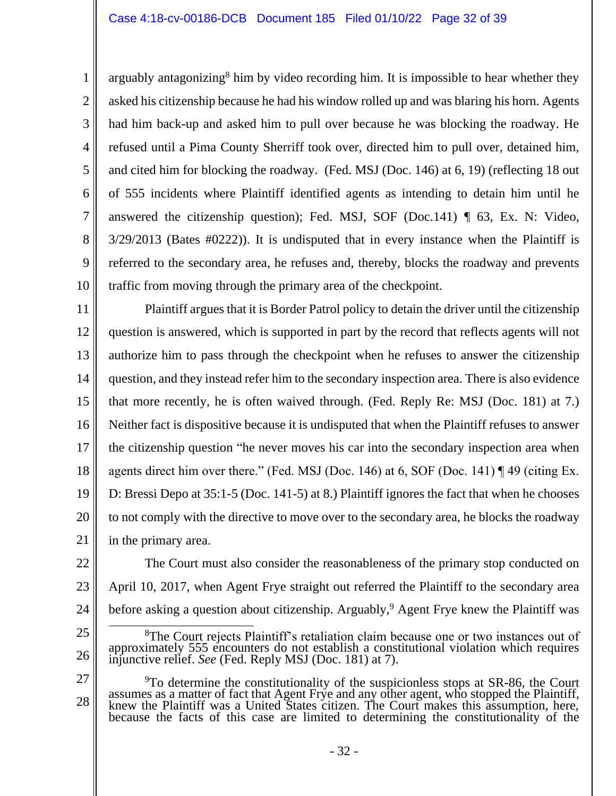arguably antagonizing<sup>8</sup> him by video recording him. It is impossible to hear whether they asked his citizenship because he had his window rolled up and was blaring his horn. Agents had him back-up and asked him to pull over because he was blocking the roadway. He refused until a Pima County Sherriff took over, directed him to pull over, detained him, and cited him for blocking the roadway. (Fed. MSJ (Doc. 146) at 6, 19) (reflecting 18 out of 555 incidents where Plaintiff identified agents as intending to detain him until he answered the citizenship question); Fed. MSJ, SOF (Doc.141) ¶ 63, Ex. N: Video, 3/29/2013 (Bates #0222)). It is undisputed that in every instance when the Plaintiff is referred to the secondary area, he refuses and, thereby, blocks the roadway and prevents traffic from moving through the primary area of the checkpoint.

11 12 13 14 15 16 17 18 19 20 21 Plaintiff argues that it is Border Patrol policy to detain the driver until the citizenship question is answered, which is supported in part by the record that reflects agents will not authorize him to pass through the checkpoint when he refuses to answer the citizenship question, and they instead refer him to the secondary inspection area. There is also evidence that more recently, he is often waived through. (Fed. Reply Re: MSJ (Doc. 181) at 7.) Neither fact is dispositive because it is undisputed that when the Plaintiff refuses to answer the citizenship question "he never moves his car into the secondary inspection area when agents direct him over there." (Fed. MSJ (Doc. 146) at 6, SOF (Doc. 141)  $\P$  49 (citing Ex. D: Bressi Depo at 35:1-5 (Doc. 141-5) at 8.) Plaintiff ignores the fact that when he chooses to not comply with the directive to move over to the secondary area, he blocks the roadway in the primary area.

- 22 23 24 The Court must also consider the reasonableness of the primary stop conducted on April 10, 2017, when Agent Frye straight out referred the Plaintiff to the secondary area before asking a question about citizenship. Arguably,<sup>9</sup> Agent Frye knew the Plaintiff was
- 25

26

1

2

3

4

5

6

7

8

9

10

27 28  $9T$ o determine the constitutionality of the suspicionless stops at SR-86, the Court assumes as a matter of fact that Agent Frye and any other agent, who stopped the Plaintiff, knew the Plaintiff was a United States citizen. The Court makes this assumption, here, because the facts of this case are limited to determining the constitutionality of the

<sup>&</sup>lt;sup>8</sup>The Court rejects Plaintiff's retaliation claim because one or two instances out of approximately 555 encounters do not establish a constitutional violation which requires injunctive relief. *See* (Fed. Reply MSJ (Doc. 181) at 7).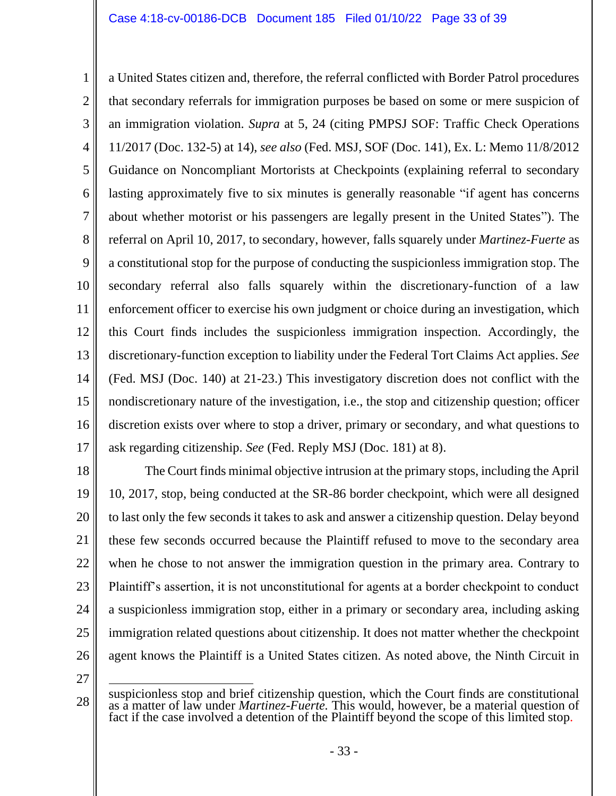1 2 3 4 5 6 7 8 9 10 11 12 13 14 15 16 17 a United States citizen and, therefore, the referral conflicted with Border Patrol procedures that secondary referrals for immigration purposes be based on some or mere suspicion of an immigration violation. *Supra* at 5, 24 (citing PMPSJ SOF: Traffic Check Operations 11/2017 (Doc. 132-5) at 14), *see also* (Fed. MSJ, SOF (Doc. 141), Ex. L: Memo 11/8/2012 Guidance on Noncompliant Mortorists at Checkpoints (explaining referral to secondary lasting approximately five to six minutes is generally reasonable "if agent has concerns about whether motorist or his passengers are legally present in the United States"). The referral on April 10, 2017, to secondary, however, falls squarely under *Martinez-Fuerte* as a constitutional stop for the purpose of conducting the suspicionless immigration stop. The secondary referral also falls squarely within the discretionary-function of a law enforcement officer to exercise his own judgment or choice during an investigation, which this Court finds includes the suspicionless immigration inspection. Accordingly, the discretionary-function exception to liability under the Federal Tort Claims Act applies. *See*  (Fed. MSJ (Doc. 140) at 21-23.) This investigatory discretion does not conflict with the nondiscretionary nature of the investigation, i.e., the stop and citizenship question; officer discretion exists over where to stop a driver, primary or secondary, and what questions to ask regarding citizenship. *See* (Fed. Reply MSJ (Doc. 181) at 8).

18 19 20 21 22 23 24 25 26 The Court finds minimal objective intrusion at the primary stops, including the April 10, 2017, stop, being conducted at the SR-86 border checkpoint, which were all designed to last only the few seconds it takes to ask and answer a citizenship question. Delay beyond these few seconds occurred because the Plaintiff refused to move to the secondary area when he chose to not answer the immigration question in the primary area. Contrary to Plaintiff's assertion, it is not unconstitutional for agents at a border checkpoint to conduct a suspicionless immigration stop, either in a primary or secondary area, including asking immigration related questions about citizenship. It does not matter whether the checkpoint agent knows the Plaintiff is a United States citizen. As noted above, the Ninth Circuit in

<sup>28</sup> suspicionless stop and brief citizenship question, which the Court finds are constitutional as a matter of law under *Martinez-Fuerte.* This would, however, be a material question of fact if the case involved a detention of the Plaintiff beyond the scope of this limited stop.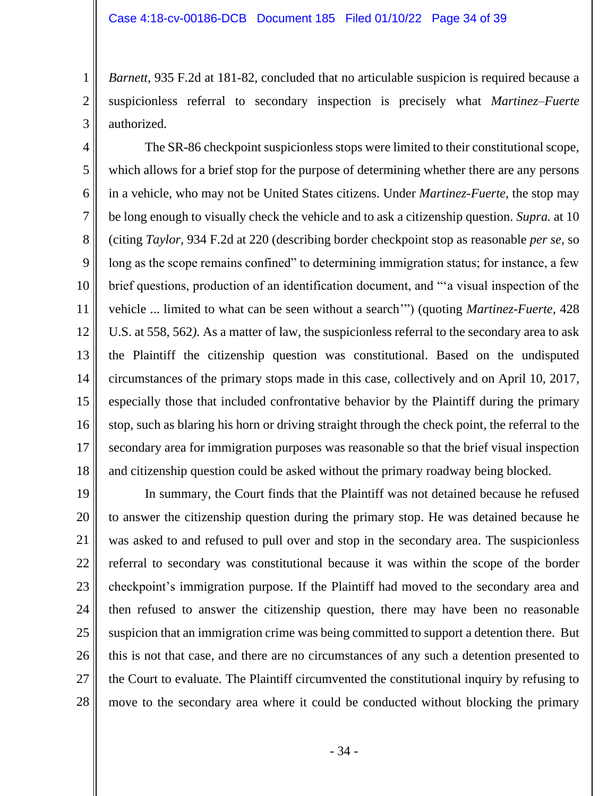2

3

*Barnett*, 935 F.2d at 181-82, concluded that no articulable suspicion is required because a suspicionless referral to secondary inspection is precisely what *Martinez–Fuerte* authorized.

4 5 6 7 8 9 10 11 12 13 14 15 16 17 18 The SR-86 checkpoint suspicionless stops were limited to their constitutional scope, which allows for a brief stop for the purpose of determining whether there are any persons in a vehicle, who may not be United States citizens. Under *Martinez-Fuerte,* the stop may be long enough to visually check the vehicle and to ask a citizenship question. *Supra.* at 10 (citing *Taylor,* 934 F.2d at 220 (describing border checkpoint stop as reasonable *per se*, so long as the scope remains confined" to determining immigration status; for instance, a few brief questions, production of an identification document, and "'a visual inspection of the vehicle ... limited to what can be seen without a search'") (quoting *Martinez-Fuerte,* 428 U.S. at 558, 562*).* As a matter of law, the suspicionless referral to the secondary area to ask the Plaintiff the citizenship question was constitutional. Based on the undisputed circumstances of the primary stops made in this case, collectively and on April 10, 2017, especially those that included confrontative behavior by the Plaintiff during the primary stop, such as blaring his horn or driving straight through the check point, the referral to the secondary area for immigration purposes was reasonable so that the brief visual inspection and citizenship question could be asked without the primary roadway being blocked.

19 20 21 22 23 24 25 26 27 28 In summary, the Court finds that the Plaintiff was not detained because he refused to answer the citizenship question during the primary stop. He was detained because he was asked to and refused to pull over and stop in the secondary area. The suspicionless referral to secondary was constitutional because it was within the scope of the border checkpoint's immigration purpose. If the Plaintiff had moved to the secondary area and then refused to answer the citizenship question, there may have been no reasonable suspicion that an immigration crime was being committed to support a detention there. But this is not that case, and there are no circumstances of any such a detention presented to the Court to evaluate. The Plaintiff circumvented the constitutional inquiry by refusing to move to the secondary area where it could be conducted without blocking the primary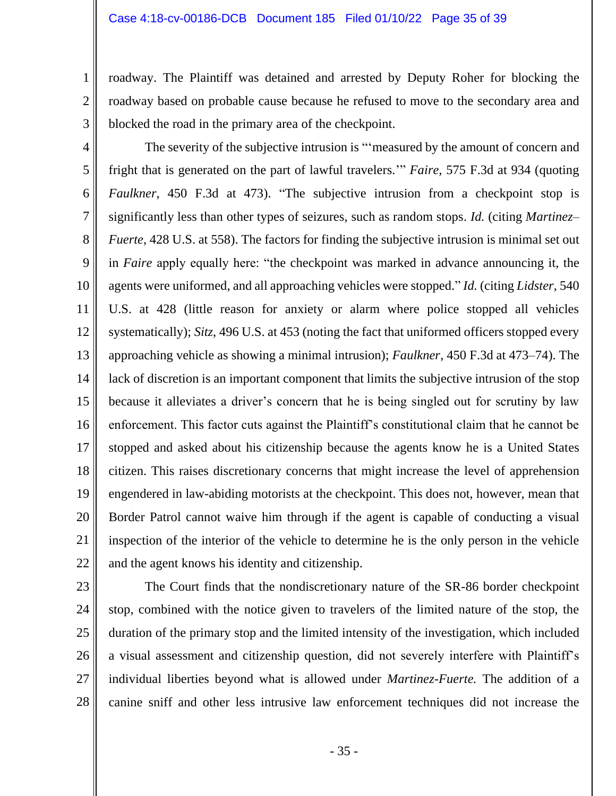roadway. The Plaintiff was detained and arrested by Deputy Roher for blocking the roadway based on probable cause because he refused to move to the secondary area and blocked the road in the primary area of the checkpoint.

1

2

3

10

11

13

14

15

17

18

19

20

21

12 16 22 The severity of the subjective intrusion is "'measured by the amount of concern and fright that is generated on the part of lawful travelers.'" *Faire,* 575 F.3d at 934 (quoting *Faulkner*, 450 F.3d at 473). "The subjective intrusion from a checkpoint stop is significantly less than other types of seizures, such as random stops. *Id.* (citing *Martinez– Fuerte*, 428 U.S. at 558). The factors for finding the subjective intrusion is minimal set out in *Faire* apply equally here: "the checkpoint was marked in advance announcing it, the agents were uniformed, and all approaching vehicles were stopped." *Id.* (citing *Lidster*, 540 U.S. at 428 (little reason for anxiety or alarm where police stopped all vehicles systematically); *Sitz*, 496 U.S. at 453 (noting the fact that uniformed officers stopped every approaching vehicle as showing a minimal intrusion); *Faulkner*, 450 F.3d at 473–74). The lack of discretion is an important component that limits the subjective intrusion of the stop because it alleviates a driver's concern that he is being singled out for scrutiny by law enforcement. This factor cuts against the Plaintiff's constitutional claim that he cannot be stopped and asked about his citizenship because the agents know he is a United States citizen. This raises discretionary concerns that might increase the level of apprehension engendered in law-abiding motorists at the checkpoint. This does not, however, mean that Border Patrol cannot waive him through if the agent is capable of conducting a visual inspection of the interior of the vehicle to determine he is the only person in the vehicle and the agent knows his identity and citizenship.

23

24 25

26

27

28

The Court finds that the nondiscretionary nature of the SR-86 border checkpoint stop, combined with the notice given to travelers of the limited nature of the stop, the duration of the primary stop and the limited intensity of the investigation, which included a visual assessment and citizenship question, did not severely interfere with Plaintiff's individual liberties beyond what is allowed under *Martinez-Fuerte.* The addition of a canine sniff and other less intrusive law enforcement techniques did not increase the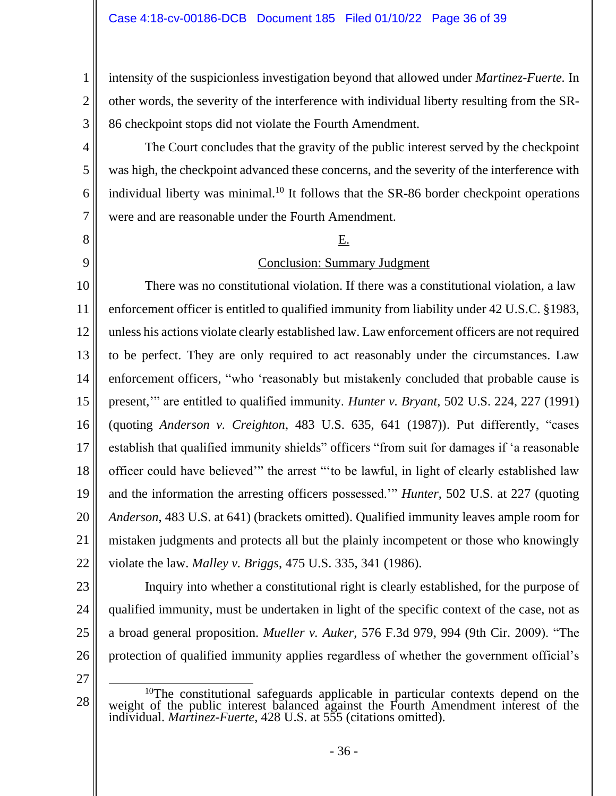intensity of the suspicionless investigation beyond that allowed under *Martinez-Fuerte.* In other words, the severity of the interference with individual liberty resulting from the SR-86 checkpoint stops did not violate the Fourth Amendment.

The Court concludes that the gravity of the public interest served by the checkpoint was high, the checkpoint advanced these concerns, and the severity of the interference with individual liberty was minimal.<sup>10</sup> It follows that the SR-86 border checkpoint operations were and are reasonable under the Fourth Amendment.

### E.

# Conclusion: Summary Judgment

10 11 12 13 14 15 16 17 18 19 20 21 22 There was no constitutional violation. If there was a constitutional violation, a law enforcement officer is entitled to qualified immunity from liability under 42 U.S.C. §1983, unless his actions violate clearly established law. Law enforcement officers are not required to be perfect. They are only required to act reasonably under the circumstances. Law enforcement officers, "who 'reasonably but mistakenly concluded that probable cause is present,'" are entitled to qualified immunity. *Hunter v. Bryant*, 502 U.S. 224, 227 (1991) (quoting *Anderson v. Creighton*, 483 U.S. 635, 641 (1987)). Put differently, "cases establish that qualified immunity shields" officers "from suit for damages if 'a reasonable officer could have believed'" the arrest "'to be lawful, in light of clearly established law and the information the arresting officers possessed.'" *Hunter*, 502 U.S. at 227 (quoting *Anderson*, 483 U.S. at 641) (brackets omitted). Qualified immunity leaves ample room for mistaken judgments and protects all but the plainly incompetent or those who knowingly violate the law. *Malley v. Briggs*, 475 U.S. 335, 341 (1986).

1

2

3

4

5

6

7

8

9

23 24 25 26 Inquiry into whether a constitutional right is clearly established, for the purpose of qualified immunity, must be undertaken in light of the specific context of the case, not as a broad general proposition. *Mueller v. Auker*, 576 F.3d 979, 994 (9th Cir. 2009). "The protection of qualified immunity applies regardless of whether the government official's

27

<sup>&</sup>lt;sup>10</sup>The constitutional safeguards applicable in particular contexts depend on the weight of the public interest balanced against the Fourth Amendment interest of the individual. *Martinez-Fuerte*, 428 U.S. at 555 (citations omitted).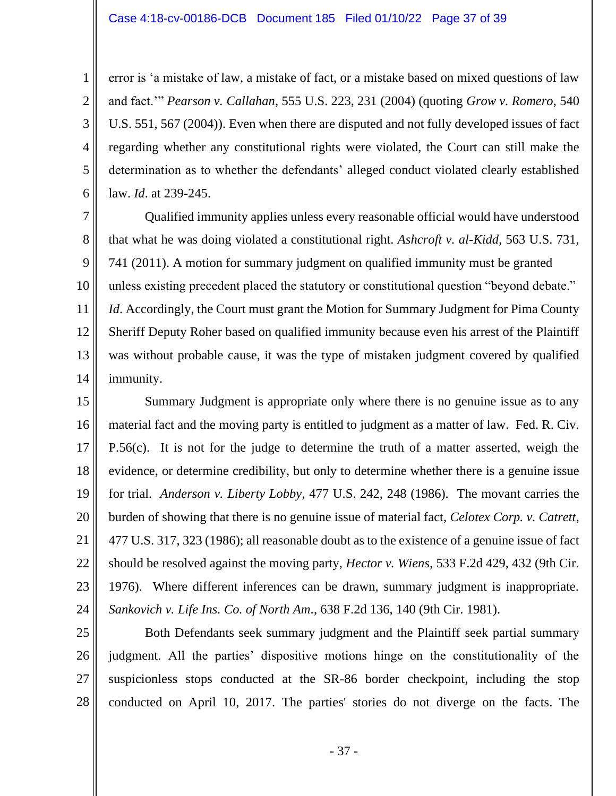2

3

4

5

6

error is 'a mistake of law, a mistake of fact, or a mistake based on mixed questions of law and fact.'" *Pearson v. Callahan*, 555 U.S. 223, 231 (2004) (quoting *Grow v. Romero*, 540 U.S. 551, 567 (2004)). Even when there are disputed and not fully developed issues of fact regarding whether any constitutional rights were violated, the Court can still make the determination as to whether the defendants' alleged conduct violated clearly established law. *Id*. at 239-245.

7 8 9 10 11 12 13 14 Qualified immunity applies unless every reasonable official would have understood that what he was doing violated a constitutional right. *Ashcroft v. al-Kidd*, 563 U.S. 731, 741 (2011). A motion for summary judgment on qualified immunity must be granted unless existing precedent placed the statutory or constitutional question "beyond debate." *Id.* Accordingly, the Court must grant the Motion for Summary Judgment for Pima County Sheriff Deputy Roher based on qualified immunity because even his arrest of the Plaintiff was without probable cause, it was the type of mistaken judgment covered by qualified immunity.

15 16 17 18 19 20 21 22 23 24 Summary Judgment is appropriate only where there is no genuine issue as to any material fact and the moving party is entitled to judgment as a matter of law. Fed. R. Civ. P.56(c). It is not for the judge to determine the truth of a matter asserted, weigh the evidence, or determine credibility, but only to determine whether there is a genuine issue for trial. *Anderson v. Liberty Lobby*, 477 U.S. 242, 248 (1986). The movant carries the burden of showing that there is no genuine issue of material fact, *Celotex Corp. v. Catrett*, 477 U.S. 317, 323 (1986); all reasonable doubt as to the existence of a genuine issue of fact should be resolved against the moving party, *Hector v. Wiens*, 533 F.2d 429, 432 (9th Cir. 1976). Where different inferences can be drawn, summary judgment is inappropriate. *Sankovich v. Life Ins. Co. of North Am*., 638 F.2d 136, 140 (9th Cir. 1981).

25 26 27 28 Both Defendants seek summary judgment and the Plaintiff seek partial summary judgment. All the parties' dispositive motions hinge on the constitutionality of the suspicionless stops conducted at the SR-86 border checkpoint, including the stop conducted on April 10, 2017. The parties' stories do not diverge on the facts. The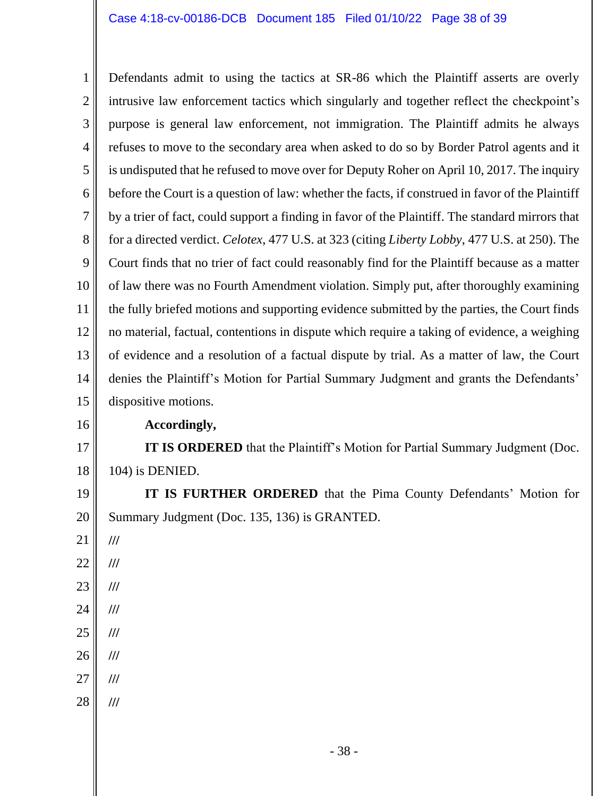1 2 3 4 5 6 7 8 9 10 11 12 13 14 15 Defendants admit to using the tactics at SR-86 which the Plaintiff asserts are overly intrusive law enforcement tactics which singularly and together reflect the checkpoint's purpose is general law enforcement, not immigration. The Plaintiff admits he always refuses to move to the secondary area when asked to do so by Border Patrol agents and it is undisputed that he refused to move over for Deputy Roher on April 10, 2017. The inquiry before the Court is a question of law: whether the facts, if construed in favor of the Plaintiff by a trier of fact, could support a finding in favor of the Plaintiff. The standard mirrors that for a directed verdict. *Celotex*, 477 U.S. at 323 (citing *Liberty Lobby*, 477 U.S. at 250). The Court finds that no trier of fact could reasonably find for the Plaintiff because as a matter of law there was no Fourth Amendment violation. Simply put, after thoroughly examining the fully briefed motions and supporting evidence submitted by the parties, the Court finds no material, factual, contentions in dispute which require a taking of evidence, a weighing of evidence and a resolution of a factual dispute by trial. As a matter of law, the Court denies the Plaintiff's Motion for Partial Summary Judgment and grants the Defendants' dispositive motions.

16

#### **Accordingly,**

17 18 **IT IS ORDERED** that the Plaintiff's Motion for Partial Summary Judgment (Doc. 104) is DENIED.

19 20 **IT IS FURTHER ORDERED** that the Pima County Defendants' Motion for Summary Judgment (Doc. 135, 136) is GRANTED.

21 22 23 24 25 **/// /// /// /// ///**

- 26 **///**
- 27 **///**
- 28 **///**